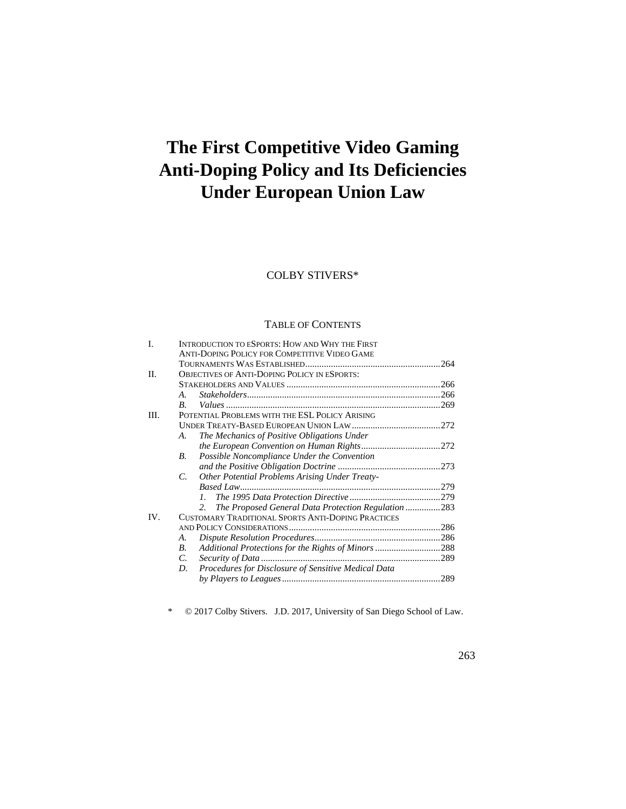# **The First Competitive Video Gaming Anti-Doping Policy and Its Deficiencies Under European Union Law**

# COLBY STIVERS\*

# TABLE OF CONTENTS

| L    | INTRODUCTION TO ESPORTS: HOW AND WHY THE FIRST                       |  |  |
|------|----------------------------------------------------------------------|--|--|
|      | ANTI-DOPING POLICY FOR COMPETITIVE VIDEO GAME                        |  |  |
|      |                                                                      |  |  |
| II.  | <b>OBJECTIVES OF ANTI-DOPING POLICY IN ESPORTS:</b>                  |  |  |
|      |                                                                      |  |  |
|      | $\bm{A}$ .                                                           |  |  |
|      | $\boldsymbol{B}$ .                                                   |  |  |
| III. | POTENTIAL PROBLEMS WITH THE ESL POLICY ARISING                       |  |  |
|      |                                                                      |  |  |
|      | The Mechanics of Positive Obligations Under<br>А.                    |  |  |
|      |                                                                      |  |  |
|      | Possible Noncompliance Under the Convention<br>В.                    |  |  |
|      |                                                                      |  |  |
|      | <b>Other Potential Problems Arising Under Treaty-</b><br>$C_{\cdot}$ |  |  |
|      |                                                                      |  |  |
|      | $\mathcal{I}$                                                        |  |  |
|      | The Proposed General Data Protection Regulation283<br>2 <sup>1</sup> |  |  |
| IV.  | <b>CUSTOMARY TRADITIONAL SPORTS ANTI-DOPING PRACTICES</b>            |  |  |
|      |                                                                      |  |  |
|      | A.                                                                   |  |  |
|      | Additional Protections for the Rights of Minors 288<br>В.            |  |  |
|      | C.                                                                   |  |  |
|      | Procedures for Disclosure of Sensitive Medical Data<br>D.            |  |  |
|      |                                                                      |  |  |
|      |                                                                      |  |  |

\* © 2017 Colby Stivers. J.D. 2017, University of San Diego School of Law.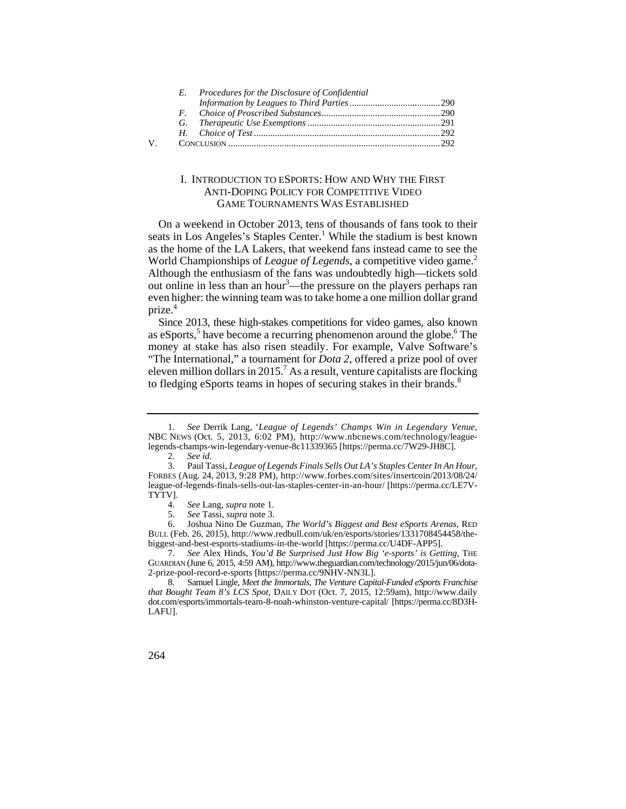|   | E. | Procedures for the Disclosure of Confidential |  |
|---|----|-----------------------------------------------|--|
|   |    |                                               |  |
|   |    |                                               |  |
|   |    |                                               |  |
|   |    |                                               |  |
| V |    |                                               |  |

# I. INTRODUCTION TO ESPORTS: HOW AND WHY THE FIRST ANTI-DOPING POLICY FOR COMPETITIVE VIDEO GAME TOURNAMENTS WAS ESTABLISHED

On a weekend in October 2013, tens of thousands of fans took to their seats in Los Angeles's Staples Center.<sup>1</sup> While the stadium is best known as the home of the LA Lakers, that weekend fans instead came to see the World Championships of *League of Legends*, a competitive video game.<sup>2</sup> Although the enthusiasm of the fans was undoubtedly high—tickets sold out online in less than an hour<sup>3</sup>—the pressure on the players perhaps ran even higher: the winning team was to take home a one million dollar grand prize.<sup>4</sup>

Since 2013, these high-stakes competitions for video games, also known as eSports,<sup>5</sup> have become a recurring phenomenon around the globe.<sup>6</sup> The money at stake has also risen steadily. For example, Valve Software's "The International," a tournament for *Dota 2*, offered a prize pool of over eleven million dollars in 2015.<sup>7</sup> As a result, venture capitalists are flocking to fledging eSports teams in hopes of securing stakes in their brands.<sup>8</sup>

6. Joshua Nino De Guzman, *The World's Biggest and Best eSports Arenas*, RED BULL (Feb. 26, 2015), http://www.redbull.com/uk/en/esports/stories/1331708454458/thebiggest-and-best-esports-stadiums-in-the-world [https://perma.cc/U4DF-APP5].

 <sup>1.</sup> *See* Derrik Lang, '*League of Legends' Champs Win in Legendary Venue*, NBC NEWS (Oct. 5, 2013, 6:02 PM), http://www.nbcnews.com/technology/leaguelegends-champs-win-legendary-venue-8c11339365 [https://perma.cc/7W29-JH8C].

<sup>2.</sup> *See id*.

 FORBES (Aug. 24, 2013, 9:28 PM), http://www.forbes.com/sites/insertcoin/2013/08/24/ 3. Paul Tassi*, League of Legends Finals Sells Out LA's Staples Center In An Hour*, league-of-legends-finals-sells-out-las-staples-center-in-an-hour/ [https://perma.cc/LE7V-TYTV].

<sup>4.</sup> *See* Lang, *supra* note 1.

<sup>5.</sup> *See* Tassi, *supra* note 3.

<sup>7.</sup> *See* Alex Hinds, *You'd Be Surprised Just How Big 'e-sports' is Getting*, THE GUARDIAN (June 6, 2015, 4:59 AM), http://www.theguardian.com/technology/2015/jun/06/dota-2-prize-pool-record-e-sports [https://perma.cc/9NHV-NN3L].

 $\mathbf{R}$  8. Samuel Lingle, *Meet the Immortals, The Venture Capital-Funded eSports Franchise that Bought Team 8's LCS Spot*, DAILY DOT (Oct. 7, 2015, 12:59am), http://www.daily dot.com/esports/immortals-team-8-noah-whinston-venture-capital/ [https://perma.cc/8D3H-LAFU].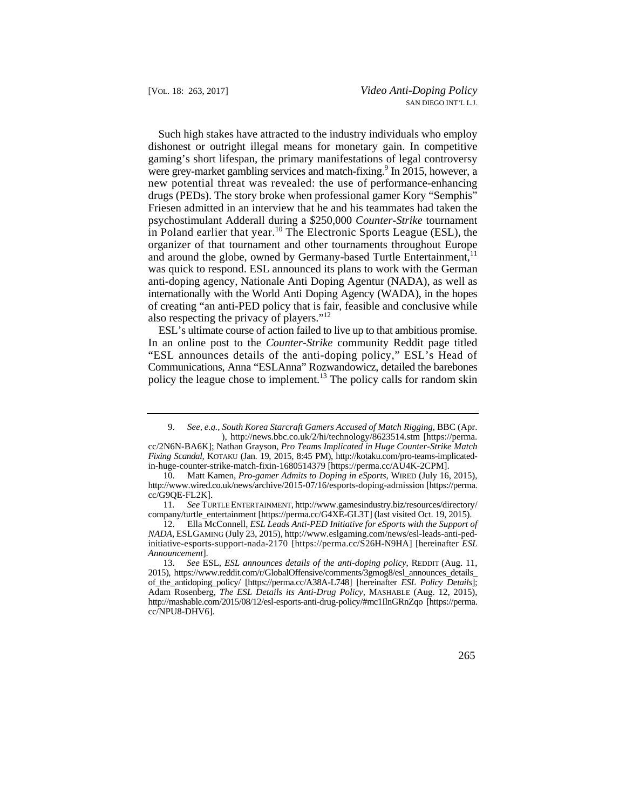in Poland earlier that year.<sup>10</sup> The Electronic Sports League (ESL), the Such high stakes have attracted to the industry individuals who employ dishonest or outright illegal means for monetary gain. In competitive gaming's short lifespan, the primary manifestations of legal controversy were grey-market gambling services and match-fixing.<sup>9</sup> In 2015, however, a new potential threat was revealed: the use of performance-enhancing drugs (PEDs). The story broke when professional gamer Kory "Semphis" Friesen admitted in an interview that he and his teammates had taken the psychostimulant Adderall during a \$250,000 *Counter-Strike* tournament organizer of that tournament and other tournaments throughout Europe and around the globe, owned by Germany-based Turtle Entertainment, $11$ was quick to respond. ESL announced its plans to work with the German anti-doping agency, Nationale Anti Doping Agentur (NADA), as well as internationally with the World Anti Doping Agency (WADA), in the hopes of creating "an anti-PED policy that is fair, feasible and conclusive while also respecting the privacy of players."12

ESL's ultimate course of action failed to live up to that ambitious promise. In an online post to the *Counter-Strike* community Reddit page titled "ESL announces details of the anti-doping policy," ESL's Head of Communications, Anna "ESLAnna" Rozwandowicz, detailed the barebones policy the league chose to implement.<sup>13</sup> The policy calls for random skin

 <sup>9.</sup> *See, e.g., South Korea Starcraft Gamers Accused of Match Rigging*, BBC (Apr. ), http://news.bbc.co.uk/2/hi/technology/8623514.stm [https://perma.

cc/2N6N-BA6K]; Nathan Grayson, *Pro Teams Implicated in Huge Counter-Strike Match Fixing Scandal,* KOTAKU (Jan. 19, 2015, 8:45 PM), http://kotaku.com/pro-teams-implicatedin-huge-counter-strike-match-fixin-1680514379 [https://perma.cc/AU4K-2CPM].

 10. Matt Kamen, *Pro-gamer Admits to Doping in eSports*, WIRED (July 16, 2015), http://www.wired.co.uk/news/archive/2015-07/16/esports-doping-admission [https://perma. cc/G9QE-FL2K].

 $11$ 11*. See* TURTLE ENTERTAINMENT, http://www.gamesindustry.biz/resources/directory/ company/turtle\_entertainment [https://perma.cc/G4XE-GL3T] (last visited Oct. 19, 2015).

 initiative-esports-support-nada-2170 [https://perma.cc/S26H-N9HA] [hereinafter *ESL*  12. Ella McConnell, *ESL Leads Anti-PED Initiative for eSports with the Support of NADA*, ESLGAMING (July 23, 2015), http://www.eslgaming.com/news/esl-leads-anti-ped-*Announcement*].

<sup>13.</sup> *See* ESL, *ESL announces details of the anti-doping policy*, REDDIT (Aug. 11, 2015), https://www.reddit.com/r/GlobalOffensive/comments/3gmog8/esl\_announces\_details\_ of\_the\_antidoping\_policy/ [https://perma.cc/A38A-L748] [hereinafter *ESL Policy Details*]; Adam Rosenberg, *The ESL Details its Anti-Drug Policy*, MASHABLE (Aug. 12, 2015), http://mashable.com/2015/08/12/esl-esports-anti-drug-policy/#mc1IlnGRnZqo [https://perma. cc/NPU8-DHV6].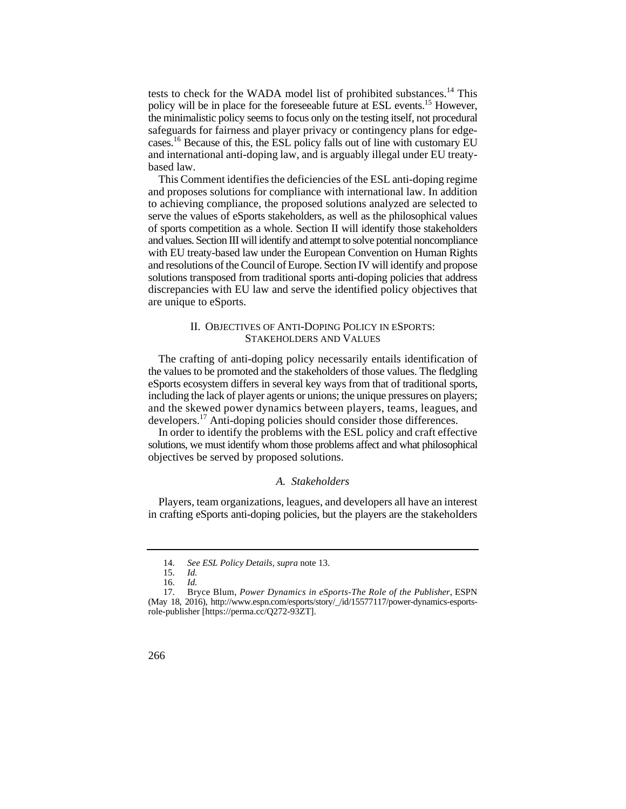cases.<sup>16</sup> Because of this, the ESL policy falls out of line with customary EU tests to check for the WADA model list of prohibited substances.<sup>14</sup> This policy will be in place for the foreseeable future at ESL events.15 However, the minimalistic policy seems to focus only on the testing itself, not procedural safeguards for fairness and player privacy or contingency plans for edgeand international anti-doping law, and is arguably illegal under EU treatybased law.

 of sports competition as a whole. Section II will identify those stakeholders This Comment identifies the deficiencies of the ESL anti-doping regime and proposes solutions for compliance with international law. In addition to achieving compliance, the proposed solutions analyzed are selected to serve the values of eSports stakeholders, as well as the philosophical values and values. Section III will identify and attempt to solve potential noncompliance with EU treaty-based law under the European Convention on Human Rights and resolutions of the Council of Europe. Section IV will identify and propose solutions transposed from traditional sports anti-doping policies that address discrepancies with EU law and serve the identified policy objectives that are unique to eSports.

## II. OBJECTIVES OF ANTI-DOPING POLICY IN ESPORTS: STAKEHOLDERS AND VALUES

 and the skewed power dynamics between players, teams, leagues, and The crafting of anti-doping policy necessarily entails identification of the values to be promoted and the stakeholders of those values. The fledgling eSports ecosystem differs in several key ways from that of traditional sports, including the lack of player agents or unions; the unique pressures on players; developers.17 Anti-doping policies should consider those differences.

In order to identify the problems with the ESL policy and craft effective solutions, we must identify whom those problems affect and what philosophical objectives be served by proposed solutions.

## *A. Stakeholders*

 in crafting eSports anti-doping policies, but the players are the stakeholders Players, team organizations, leagues, and developers all have an interest

 <sup>14.</sup> *See ESL Policy Details*, *supra* note 13.

<sup>15.</sup> *Id.*

 <sup>16.</sup> *Id.*

 $17<sub>1</sub>$  17. Bryce Blum, *Power Dynamics in eSports-The Role of the Publisher*, ESPN (May 18, 2016), http://www.espn.com/esports/story/\_/id/15577117/power-dynamics-esportsrole-publisher [https://perma.cc/Q272-93ZT].

<sup>266</sup>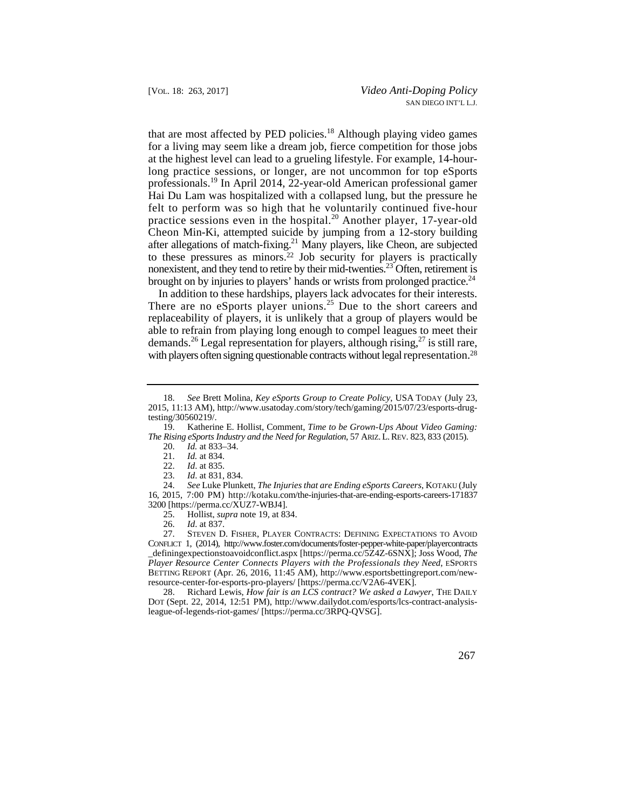that are most affected by PED policies.<sup>18</sup> Although playing video games for a living may seem like a dream job, fierce competition for those jobs at the highest level can lead to a grueling lifestyle. For example, 14-hourlong practice sessions, or longer, are not uncommon for top eSports professionals.19 In April 2014, 22-year-old American professional gamer Hai Du Lam was hospitalized with a collapsed lung, but the pressure he felt to perform was so high that he voluntarily continued five-hour practice sessions even in the hospital.20 Another player, 17-year-old Cheon Min-Ki, attempted suicide by jumping from a 12-story building after allegations of match-fixing.21 Many players, like Cheon, are subjected to these pressures as minors.22 Job security for players is practically nonexistent, and they tend to retire by their mid-twenties.<sup>23</sup> Often, retirement is brought on by injuries to players' hands or wrists from prolonged practice.<sup>24</sup>

In addition to these hardships, players lack advocates for their interests. There are no eSports player unions.<sup>25</sup> Due to the short careers and replaceability of players, it is unlikely that a group of players would be able to refrain from playing long enough to compel leagues to meet their demands.<sup>26</sup> Legal representation for players, although rising,<sup>27</sup> is still rare, with players often signing questionable contracts without legal representation.<sup>28</sup>

20. *Id.* at 833–34.

23. *Id*. at 831, 834.

24. *See* Luke Plunkett, *The Injuries that are Ending eSports Careers*, KOTAKU (July 16, 2015, 7:00 PM) http://kotaku.com/the-injuries-that-are-ending-esports-careers-171837 3200 [https://perma.cc/XUZ7-WBJ4].

 27. STEVEN D. FISHER, PLAYER CONTRACTS: DEFINING EXPECTATIONS TO AVOID CONFLICT 1, (2014), http://www.foster.com/documents/foster-pepper-white-paper/playercontracts \_definingexpectionstoavoidconflict.aspx [https://perma.cc/5Z4Z-6SNX]; Joss Wood, *The Player Resource Center Connects Players with the Professionals they Need*, ESPORTS BETTING REPORT (Apr. 26, 2016, 11:45 AM), http://www.esportsbettingreport.com/newresource-center-for-esports-pro-players/ [https://perma.cc/V2A6-4VEK].

28. 28. Richard Lewis, *How fair is an LCS contract? We asked a Lawyer*, THE DAILY DOT (Sept. 22, 2014, 12:51 PM), http://www.dailydot.com/esports/lcs-contract-analysisleague-of-legends-riot-games/ [https://perma.cc/3RPQ-QVSG].

 <sup>18.</sup> *See* Brett Molina, *Key eSports Group to Create Policy*, USA TODAY (July 23, 2015, 11:13 AM), http://www.usatoday.com/story/tech/gaming/2015/07/23/esports-drugtesting/30560219/.<br>19. Katherin

 *The Rising eSports Industry and the Need for Regulation*, 57 ARIZ. L. REV. 823, 833 (2015). 19. Katherine E. Hollist, Comment, *Time to be Grown-Ups About Video Gaming:* 

*Id.* at 834.

<sup>22.</sup> *Id*. at 835.

 25. Hollist, *supra* note 19, at 834.

<sup>26.</sup> *Id*. at 837.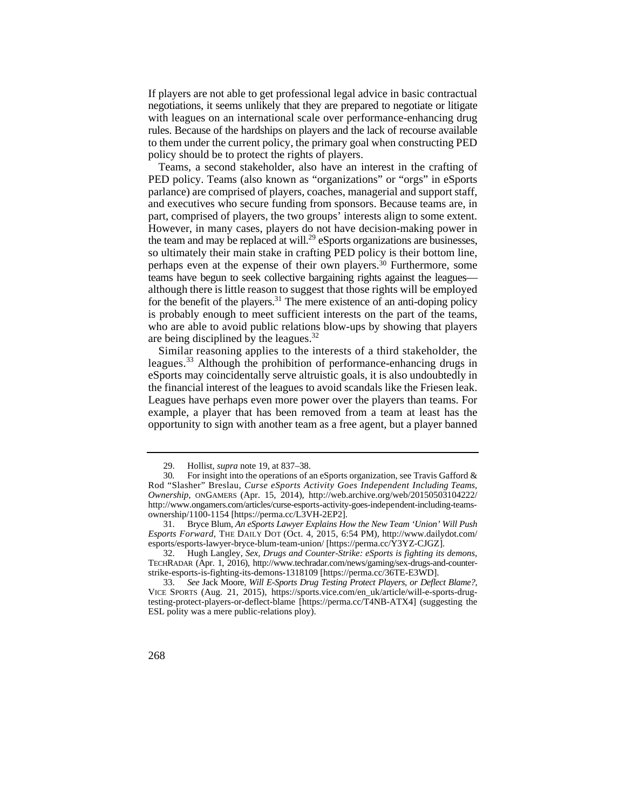negotiations, it seems unlikely that they are prepared to negotiate or litigate rules. Because of the hardships on players and the lack of recourse available If players are not able to get professional legal advice in basic contractual with leagues on an international scale over performance-enhancing drug to them under the current policy, the primary goal when constructing PED policy should be to protect the rights of players.

 part, comprised of players, the two groups' interests align to some extent. for the benefit of the players.<sup>31</sup> The mere existence of an anti-doping policy Teams, a second stakeholder, also have an interest in the crafting of PED policy. Teams (also known as "organizations" or "orgs" in eSports parlance) are comprised of players, coaches, managerial and support staff, and executives who secure funding from sponsors. Because teams are, in However, in many cases, players do not have decision-making power in the team and may be replaced at will.<sup>29</sup> eSports organizations are businesses, so ultimately their main stake in crafting PED policy is their bottom line, perhaps even at the expense of their own players.30 Furthermore, some teams have begun to seek collective bargaining rights against the leagues although there is little reason to suggest that those rights will be employed is probably enough to meet sufficient interests on the part of the teams, who are able to avoid public relations blow-ups by showing that players are being disciplined by the leagues.32

Similar reasoning applies to the interests of a third stakeholder, the leagues.<sup>33</sup> Although the prohibition of performance-enhancing drugs in eSports may coincidentally serve altruistic goals, it is also undoubtedly in the financial interest of the leagues to avoid scandals like the Friesen leak. Leagues have perhaps even more power over the players than teams. For example, a player that has been removed from a team at least has the opportunity to sign with another team as a free agent, but a player banned

<sup>33.</sup> *See* Jack Moore, *Will E-Sports Drug Testing Protect Players, or Deflect Blame?*, VICE SPORTS (Aug. 21, 2015), https://sports.vice.com/en\_uk/article/will-e-sports-drugtesting-protect-players-or-deflect-blame [https://perma.cc/T4NB-ATX4] (suggesting the ESL polity was a mere public-relations ploy).



<sup>29</sup> 29. Hollist, *supra* note 19, at 837–38.

 Rod "Slasher" Breslau, *Curse eSports Activity Goes Independent Including Teams,*  30*.* For insight into the operations of an eSports organization, see Travis Gafford & *Ownership*, ONGAMERS (Apr. 15, 2014), http://web.archive.org/web/20150503104222/ http://www.ongamers.com/articles/curse-esports-activity-goes-independent-including-teamsownership/1100-1154 [https://perma.cc/L3VH-2EP2].

 31. Bryce Blum, *An eSports Lawyer Explains How the New Team 'Union' Will Push Esports Forward*, THE DAILY DOT (Oct. 4, 2015, 6:54 PM), http://www.dailydot.com/ esports/esports-lawyer-bryce-blum-team-union/ [https://perma.cc/Y3YZ-CJGZ].

 32. Hugh Langley, *Sex, Drugs and Counter-Strike: eSports is fighting its demons*, TECHRADAR (Apr. 1, 2016), http://www.techradar.com/news/gaming/sex-drugs-and-counterstrike-esports-is-fighting-its-demons-1318109 [https://perma.cc/36TE-E3WD].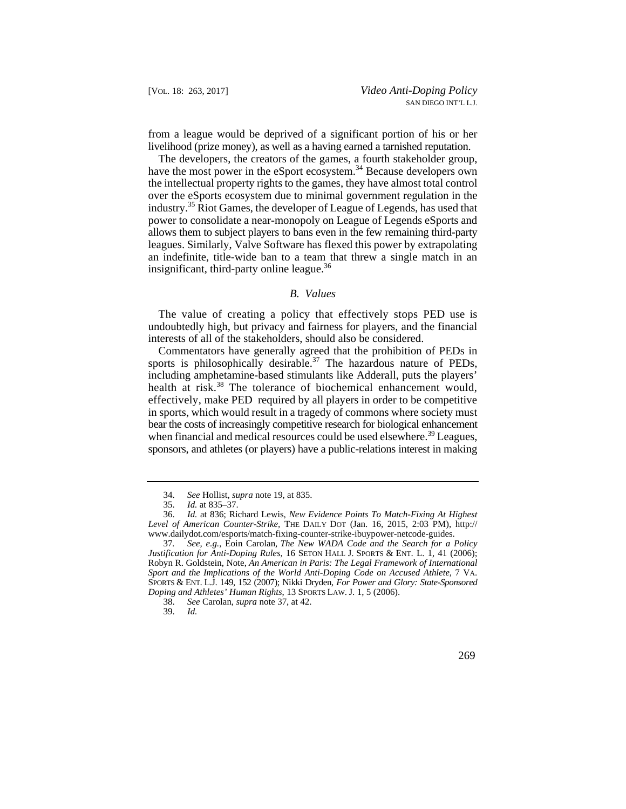from a league would be deprived of a significant portion of his or her livelihood (prize money), as well as a having earned a tarnished reputation.

The developers, the creators of the games, a fourth stakeholder group, have the most power in the eSport ecosystem.<sup>34</sup> Because developers own the intellectual property rights to the games, they have almost total control over the eSports ecosystem due to minimal government regulation in the industry.35 Riot Games, the developer of League of Legends, has used that power to consolidate a near-monopoly on League of Legends eSports and allows them to subject players to bans even in the few remaining third-party leagues. Similarly, Valve Software has flexed this power by extrapolating an indefinite, title-wide ban to a team that threw a single match in an insignificant, third-party online league.<sup>36</sup>

#### *B. Values*

 The value of creating a policy that effectively stops PED use is undoubtedly high, but privacy and fairness for players, and the financial interests of all of the stakeholders, should also be considered.

Commentators have generally agreed that the prohibition of PEDs in sports is philosophically desirable.<sup>37</sup> The hazardous nature of PEDs, including amphetamine-based stimulants like Adderall, puts the players' health at risk.<sup>38</sup> The tolerance of biochemical enhancement would, effectively, make PED required by all players in order to be competitive in sports, which would result in a tragedy of commons where society must bear the costs of increasingly competitive research for biological enhancement when financial and medical resources could be used elsewhere.<sup>39</sup> Leagues, sponsors, and athletes (or players) have a public-relations interest in making

 <sup>34.</sup> *See* Hollist, *supra* note 19, at 835.

<sup>35.</sup> *Id.* at 835–37.

 36. *Id.* at 836; Richard Lewis, *New Evidence Points To Match-Fixing At Highest Level of American Counter-Strike,* THE DAILY DOT (Jan. 16, 2015, 2:03 PM), http:// www.dailydot.com/esports/match-fixing-counter-strike-ibuypower-netcode-guides.

 SPORTS & ENT. L.J. 149, 152 (2007); Nikki Dryden, *For Power and Glory: State-Sponsored*  37*. See, e.g.*, Eoin Carolan, *The New WADA Code and the Search for a Policy Justification for Anti-Doping Rules*, 16 SETON HALL J. SPORTS & ENT. L. 1, 41 (2006); Robyn R. Goldstein, Note, *An American in Paris: The Legal Framework of International Sport and the Implications of the World Anti-Doping Code on Accused Athlete*, 7 VA. *Doping and Athletes' Human Rights*, 13 SPORTS LAW. J. 1, 5 (2006).

<sup>38.</sup> *See* Carolan, *supra* note 37, at 42.

<sup>39.</sup> *Id.*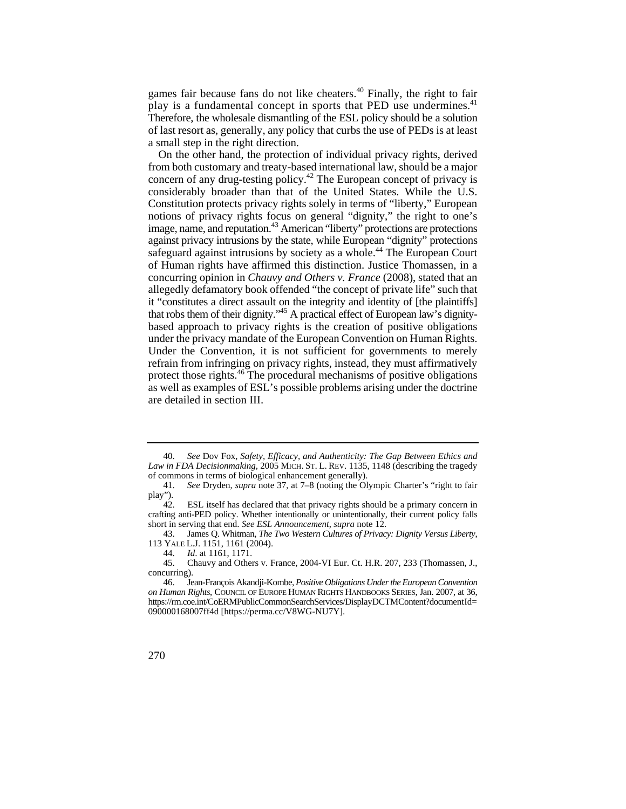games fair because fans do not like cheaters.<sup>40</sup> Finally, the right to fair play is a fundamental concept in sports that PED use undermines.<sup>41</sup> Therefore, the wholesale dismantling of the ESL policy should be a solution of last resort as, generally, any policy that curbs the use of PEDs is at least a small step in the right direction.

image, name, and reputation.<sup>43</sup> American "liberty" protections are protections On the other hand, the protection of individual privacy rights, derived from both customary and treaty-based international law, should be a major concern of any drug-testing policy.42 The European concept of privacy is considerably broader than that of the United States. While the U.S. Constitution protects privacy rights solely in terms of "liberty," European notions of privacy rights focus on general "dignity," the right to one's against privacy intrusions by the state, while European "dignity" protections safeguard against intrusions by society as a whole.<sup>44</sup> The European Court of Human rights have affirmed this distinction. Justice Thomassen, in a concurring opinion in *Chauvy and Others v. France* (2008), stated that an allegedly defamatory book offended "the concept of private life" such that it "constitutes a direct assault on the integrity and identity of [the plaintiffs] that robs them of their dignity."<sup>45</sup> A practical effect of European law's dignitybased approach to privacy rights is the creation of positive obligations under the privacy mandate of the European Convention on Human Rights. Under the Convention, it is not sufficient for governments to merely refrain from infringing on privacy rights, instead, they must affirmatively protect those rights.46 The procedural mechanisms of positive obligations as well as examples of ESL's possible problems arising under the doctrine are detailed in section III.

43. James Q. Whitman, *The Two Western Cultures of Privacy: Dignity Versus Liberty*, 113 YALE L.J. 1151, 1161 (2004).

 *Law in FDA Decisionmaking,* 2005 MICH. ST. L. REV. 1135, 1148 (describing the tragedy 40. *See* Dov Fox, *Safety, Efficacy, and Authenticity: The Gap Between Ethics and*  of commons in terms of biological enhancement generally).

<sup>41.</sup> *See* Dryden, *supra* note 37, at 7–8 (noting the Olympic Charter's "right to fair play").<br> $42.$ 

ESL itself has declared that that privacy rights should be a primary concern in crafting anti-PED policy. Whether intentionally or unintentionally, their current policy falls short in serving that end. *See ESL Announcement*, *supra* note 12.

<sup>44.</sup> *Id*. at 1161, 1171.

<sup>45.</sup> Chauvy and Others v. France, 2004-VI Eur. Ct. H.R. 207, 233 (Thomassen, J., concurring).

 $46.$  46. Jean-François Akandji-Kombe, *Positive Obligations Under the European Convention on Human Rights*, COUNCIL OF EUROPE HUMAN RIGHTS HANDBOOKS SERIES, Jan. 2007, at 36, https://rm.coe.int/CoERMPublicCommonSearchServices/DisplayDCTMContent?documentId= 090000168007ff4d [https://perma.cc/V8WG-NU7Y].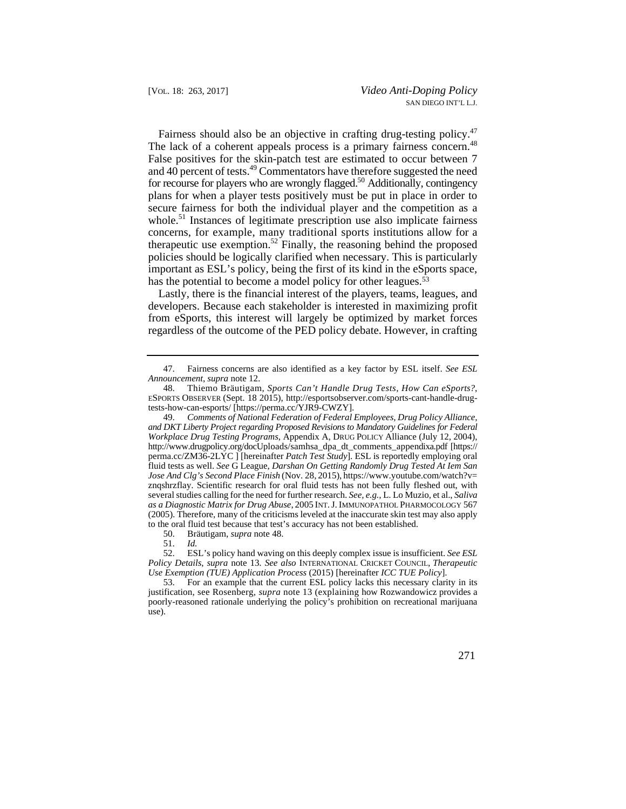Fairness should also be an objective in crafting drug-testing policy.<sup>47</sup> The lack of a coherent appeals process is a primary fairness concern.<sup>48</sup> False positives for the skin-patch test are estimated to occur between 7 and 40 percent of tests.<sup>49</sup> Commentators have therefore suggested the need for recourse for players who are wrongly flagged.<sup>50</sup> Additionally, contingency plans for when a player tests positively must be put in place in order to secure fairness for both the individual player and the competition as a whole.<sup>51</sup> Instances of legitimate prescription use also implicate fairness concerns, for example, many traditional sports institutions allow for a therapeutic use exemption.<sup>52</sup> Finally, the reasoning behind the proposed policies should be logically clarified when necessary. This is particularly important as ESL's policy, being the first of its kind in the eSports space, has the potential to become a model policy for other leagues.<sup>53</sup>

Lastly, there is the financial interest of the players, teams, leagues, and developers. Because each stakeholder is interested in maximizing profit from eSports, this interest will largely be optimized by market forces regardless of the outcome of the PED policy debate. However, in crafting

50. Bräutigam, *supra* note 48.

<sup>47.</sup> Fairness concerns are also identified as a key factor by ESL itself. *See ESL Announcement*, *supra* note 12.

<sup>48.</sup>  48. Thiemo Bräutigam, *Sports Can't Handle Drug Tests, How Can eSports?*, ESPORTS OBSERVER (Sept. 18 2015), http://esportsobserver.com/sports-cant-handle-drugtests-how-can-esports/ [https://perma.cc/YJR9-CWZY].

 perma.cc/ZM36-2LYC ] [hereinafter *Patch Test Study*]. ESL is reportedly employing oral *Jose And Clg's Second Place Finish* (Nov. 28, 2015), https://www.youtube.com/watch?v= several studies calling for the need for further research. *See, e.g.,* L. Lo Muzio, et al., *Saliva as a Diagnostic Matrix for Drug Abuse*, 2005 INT. J. IMMUNOPATHOL PHARMOCOLOGY 567 (2005). Therefore, many of the criticisms leveled at the inaccurate skin test may also apply 49. *Comments of National Federation of Federal Employees, Drug Policy Alliance, and DKT Liberty Project regarding Proposed Revisions to Mandatory Guidelines for Federal Workplace Drug Testing Programs*, Appendix A, DRUG POLICY Alliance (July 12, 2004), http://www.drugpolicy.org/docUploads/samhsa\_dpa\_dt\_comments\_appendixa.pdf [https:// fluid tests as well. *See* G League, *Darshan On Getting Randomly Drug Tested At Iem San* znqshrzflay. Scientific research for oral fluid tests has not been fully fleshed out, with to the oral fluid test because that test's accuracy has not been established.

<sup>51.</sup> *Id.* 

<sup>52.</sup> ESL's policy hand waving on this deeply complex issue is insufficient. *See ESL Policy Details*, *supra* note 13. *See also* INTERNATIONAL CRICKET COUNCIL, *Therapeutic Use Exemption (TUE) Application Process* (2015) [hereinafter *ICC TUE Policy*].

<sup>53.</sup> For an example that the current ESL policy lacks this necessary clarity in its justification, see Rosenberg, *supra* note 13 (explaining how Rozwandowicz provides a poorly-reasoned rationale underlying the policy's prohibition on recreational marijuana use).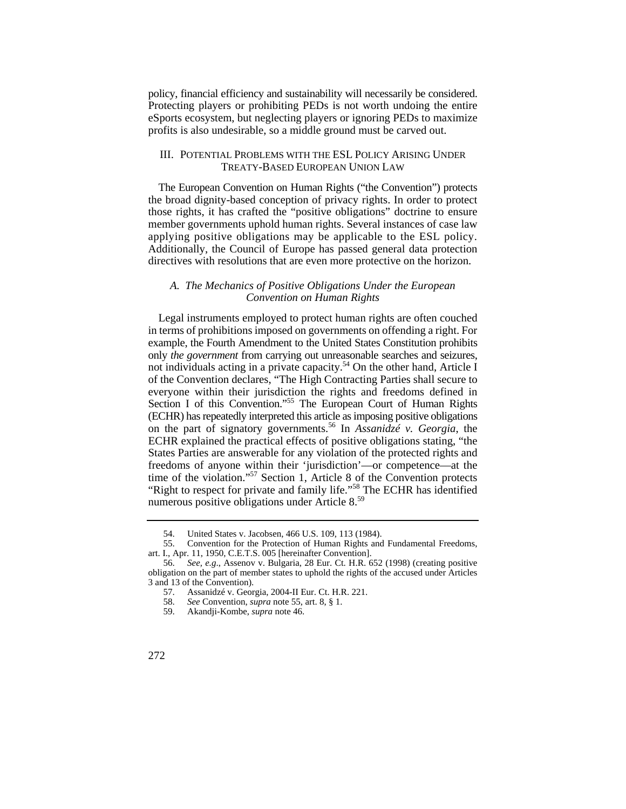policy, financial efficiency and sustainability will necessarily be considered. Protecting players or prohibiting PEDs is not worth undoing the entire eSports ecosystem, but neglecting players or ignoring PEDs to maximize profits is also undesirable, so a middle ground must be carved out.

#### III. POTENTIAL PROBLEMS WITH THE ESL POLICY ARISING UNDER TREATY-BASED EUROPEAN UNION LAW

The European Convention on Human Rights ("the Convention") protects the broad dignity-based conception of privacy rights. In order to protect those rights, it has crafted the "positive obligations" doctrine to ensure member governments uphold human rights. Several instances of case law applying positive obligations may be applicable to the ESL policy. Additionally, the Council of Europe has passed general data protection directives with resolutions that are even more protective on the horizon.

## *A. The Mechanics of Positive Obligations Under the European Convention on Human Rights*

Legal instruments employed to protect human rights are often couched in terms of prohibitions imposed on governments on offending a right. For example, the Fourth Amendment to the United States Constitution prohibits only *the government* from carrying out unreasonable searches and seizures, not individuals acting in a private capacity.<sup>54</sup> On the other hand, Article I of the Convention declares, "The High Contracting Parties shall secure to everyone within their jurisdiction the rights and freedoms defined in Section I of this Convention."<sup>55</sup> The European Court of Human Rights (ECHR) has repeatedly interpreted this article as imposing positive obligations on the part of signatory governments.56 In *Assanidzé v. Georgia*, the ECHR explained the practical effects of positive obligations stating, "the States Parties are answerable for any violation of the protected rights and freedoms of anyone within their 'jurisdiction'—or competence—at the time of the violation."57 Section 1, Article 8 of the Convention protects "Right to respect for private and family life."<sup>58</sup> The ECHR has identified numerous positive obligations under Article 8.<sup>59</sup>

<sup>54.</sup> United States v. Jacobsen, 466 U.S. 109, 113 (1984).

<sup>55.</sup> Convention for the Protection of Human Rights and Fundamental Freedoms, art. I., Apr. 11, 1950, C.E.T.S. 005 [hereinafter Convention].

<sup>56.</sup> *See, e.g*., Assenov v. Bulgaria, 28 Eur. Ct. H.R. 652 (1998) (creating positive obligation on the part of member states to uphold the rights of the accused under Articles 3 and 13 of the Convention).

<sup>57.</sup> Assanidzé v. Georgia, 2004-II Eur. Ct. H.R. 221. 58. See Convention, *supra* note 55, art. 8, § 1.

<sup>58.</sup> *See* Convention, *supra* note 55, art. 8, § 1.

<sup>59.</sup> Akandji-Kombe, *supra* note 46.

<sup>272</sup>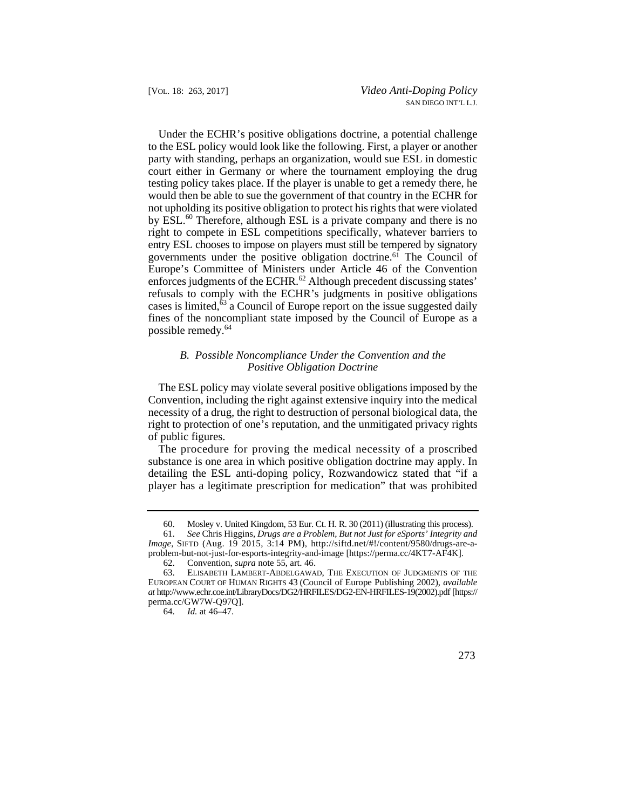entry ESL chooses to impose on players must still be tempered by signatory Under the ECHR's positive obligations doctrine, a potential challenge to the ESL policy would look like the following. First, a player or another party with standing, perhaps an organization, would sue ESL in domestic court either in Germany or where the tournament employing the drug testing policy takes place. If the player is unable to get a remedy there, he would then be able to sue the government of that country in the ECHR for not upholding its positive obligation to protect his rights that were violated by ESL.<sup>60</sup> Therefore, although ESL is a private company and there is no right to compete in ESL competitions specifically, whatever barriers to governments under the positive obligation doctrine.61 The Council of Europe's Committee of Ministers under Article 46 of the Convention enforces judgments of the ECHR. $^{62}$  Although precedent discussing states' refusals to comply with the ECHR's judgments in positive obligations cases is limited, $\overline{63}$  a Council of Europe report on the issue suggested daily fines of the noncompliant state imposed by the Council of Europe as a possible remedy.<sup>64</sup>

# *B. Possible Noncompliance Under the Convention and the Positive Obligation Doctrine*

The ESL policy may violate several positive obligations imposed by the Convention, including the right against extensive inquiry into the medical necessity of a drug, the right to destruction of personal biological data, the right to protection of one's reputation, and the unmitigated privacy rights of public figures.

The procedure for proving the medical necessity of a proscribed substance is one area in which positive obligation doctrine may apply. In detailing the ESL anti-doping policy, Rozwandowicz stated that "if a player has a legitimate prescription for medication" that was prohibited

<sup>64.</sup> *Id.* at 46–47.



<sup>60.</sup> Mosley v. United Kingdom, 53 Eur. Ct. H. R. 30 (2011) (illustrating this process).

<sup>61.</sup> *See* Chris Higgins, *Drugs are a Problem, But not Just for eSports' Integrity and Image*, SIFTD (Aug. 19 2015, 3:14 PM), http://siftd.net/#!/content/9580/drugs-are-aproblem-but-not-just-for-esports-integrity-and-image [https://perma.cc/4KT7-AF4K].

<sup>62.</sup> Convention, *supra* note 55, art. 46.

<sup>63.</sup> ELISABETH LAMBERT-ABDELGAWAD, THE EXECUTION OF JUDGMENTS OF THE EUROPEAN COURT OF HUMAN RIGHTS 43 (Council of Europe Publishing 2002), *available at* http://www.echr.coe.int/LibraryDocs/DG2/HRFILES/DG2-EN-HRFILES-19(2002).pdf [https:// perma.cc/GW7W-Q97Q].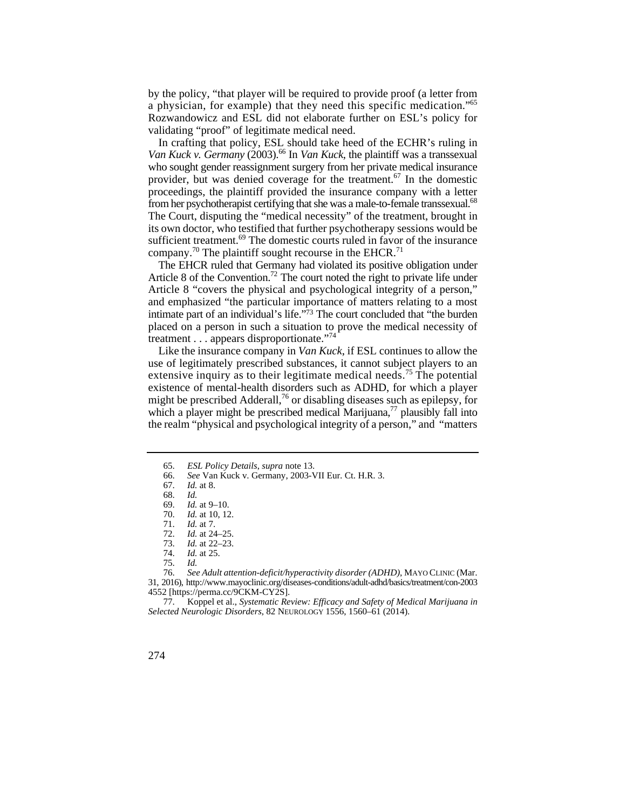by the policy, "that player will be required to provide proof (a letter from a physician, for example) that they need this specific medication."65 Rozwandowicz and ESL did not elaborate further on ESL's policy for validating "proof" of legitimate medical need.

Van Kuck v. Germany (2003).<sup>66</sup> In *Van Kuck*, the plaintiff was a transsexual In crafting that policy, ESL should take heed of the ECHR's ruling in who sought gender reassignment surgery from her private medical insurance provider, but was denied coverage for the treatment.67 In the domestic proceedings, the plaintiff provided the insurance company with a letter from her psychotherapist certifying that she was a male-to-female transsexual.<sup>68</sup> The Court, disputing the "medical necessity" of the treatment, brought in its own doctor, who testified that further psychotherapy sessions would be sufficient treatment.<sup>69</sup> The domestic courts ruled in favor of the insurance company.<sup>70</sup> The plaintiff sought recourse in the EHCR.<sup>71</sup>

 The EHCR ruled that Germany had violated its positive obligation under Article 8 of the Convention.<sup>72</sup> The court noted the right to private life under Article 8 "covers the physical and psychological integrity of a person," and emphasized "the particular importance of matters relating to a most intimate part of an individual's life."73 The court concluded that "the burden placed on a person in such a situation to prove the medical necessity of treatment . . . appears disproportionate."<sup>74</sup>

Like the insurance company in *Van Kuck*, if ESL continues to allow the use of legitimately prescribed substances, it cannot subject players to an extensive inquiry as to their legitimate medical needs.<sup>75</sup> The potential existence of mental-health disorders such as ADHD, for which a player might be prescribed Adderall,<sup>76</sup> or disabling diseases such as epilepsy, for which a player might be prescribed medical Marijuana, $\frac{7}{7}$  plausibly fall into the realm "physical and psychological integrity of a person," and "matters

 76. *See Adult attention-deficit/hyperactivity disorder (ADHD)*, MAYO CLINIC (Mar. 31, 2016), http://www.mayoclinic.org/diseases-conditions/adult-adhd/basics/treatment/con-2003 4552 [https://perma.cc/9CKM-CY2S].

77. Koppel et al., *Systematic Review: Efficacy and Safety of Medical Marijuana in Selected Neurologic Disorders*, 82 NEUROLOGY 1556, 1560–61 (2014).

<sup>65.</sup> *ESL Policy Details*, *supra* note 13.

<sup>66.</sup> *See* Van Kuck v. Germany, 2003-VII Eur. Ct. H.R. 3.

*Id.* at 8.

<sup>68.</sup> *Id.*

 <sup>69.</sup> *Id.* at 9–10.

<sup>70.</sup> *Id.* at 10, 12.

<sup>71.</sup> *Id.* at 7.

<sup>72.</sup> *Id.* at 24–25.<br>73. *Id.* at 22–23.

*Id.* at 22–23.

<sup>74.</sup> *Id.* at 25.

<sup>75.</sup> *Id.*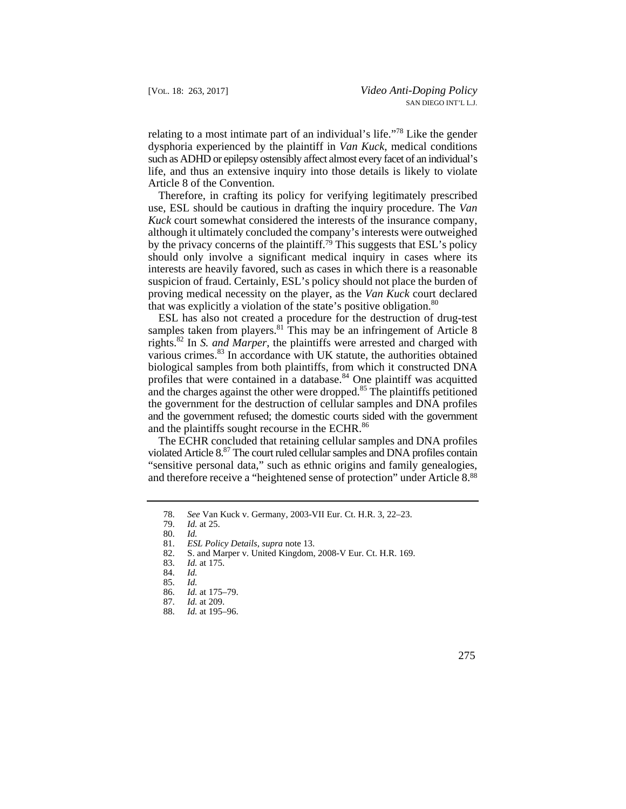relating to a most intimate part of an individual's life."78 Like the gender dysphoria experienced by the plaintiff in *Van Kuck*, medical conditions such as ADHD or epilepsy ostensibly affect almost every facet of an individual's life, and thus an extensive inquiry into those details is likely to violate Article 8 of the Convention.

Therefore, in crafting its policy for verifying legitimately prescribed use, ESL should be cautious in drafting the inquiry procedure. The *Van Kuck* court somewhat considered the interests of the insurance company, although it ultimately concluded the company's interests were outweighed by the privacy concerns of the plaintiff.<sup>79</sup> This suggests that ESL's policy should only involve a significant medical inquiry in cases where its interests are heavily favored, such as cases in which there is a reasonable suspicion of fraud. Certainly, ESL's policy should not place the burden of proving medical necessity on the player, as the *Van Kuck* court declared that was explicitly a violation of the state's positive obligation.<sup>80</sup>

ESL has also not created a procedure for the destruction of drug-test samples taken from players.<sup>81</sup> This may be an infringement of Article 8 rights.82 In *S. and Marper*, the plaintiffs were arrested and charged with various crimes.<sup>83</sup> In accordance with UK statute, the authorities obtained biological samples from both plaintiffs, from which it constructed DNA profiles that were contained in a database.<sup>84</sup> One plaintiff was acquitted and the charges against the other were dropped.<sup>85</sup> The plaintiffs petitioned the government for the destruction of cellular samples and DNA profiles and the government refused; the domestic courts sided with the government and the plaintiffs sought recourse in the ECHR.<sup>86</sup>

The ECHR concluded that retaining cellular samples and DNA profiles violated Article 8.87 The court ruled cellular samples and DNA profiles contain "sensitive personal data," such as ethnic origins and family genealogies, and therefore receive a "heightened sense of protection" under Article 8.88

<sup>88.</sup> *Id.* at 195–96.



 <sup>78.</sup> *See* Van Kuck v. Germany, 2003-VII Eur. Ct. H.R. 3, 22–23.

*Id.* at 25.

<sup>80.</sup> *Id.*

 <sup>81.</sup> *ESL Policy Details*, *supra* note 13.

<sup>82.</sup> S. and Marper v. United Kingdom, 2008-V Eur. Ct. H.R. 169.

<sup>83.</sup> *Id.* at 175.

<sup>84.</sup> *Id.*

 <sup>85.</sup> *Id.*

 <sup>86.</sup> *Id.* at 175–79.

*Id.* at 209.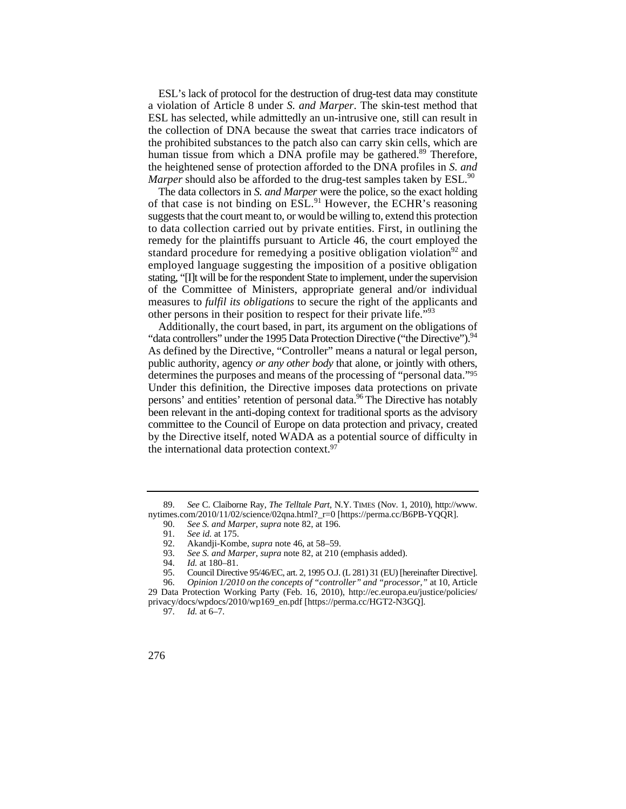ESL's lack of protocol for the destruction of drug-test data may constitute a violation of Article 8 under *S. and Marper*. The skin-test method that ESL has selected, while admittedly an un-intrusive one, still can result in the collection of DNA because the sweat that carries trace indicators of the prohibited substances to the patch also can carry skin cells, which are human tissue from which a DNA profile may be gathered.<sup>89</sup> Therefore, the heightened sense of protection afforded to the DNA profiles in *S. and Marper* should also be afforded to the drug-test samples taken by ESL.<sup>90</sup>

of that case is not binding on ESL.<sup>91</sup> However, the ECHR's reasoning to data collection carried out by private entities. First, in outlining the The data collectors in *S. and Marper* were the police, so the exact holding suggests that the court meant to, or would be willing to, extend this protection remedy for the plaintiffs pursuant to Article 46, the court employed the standard procedure for remedying a positive obligation violation<sup>92</sup> and employed language suggesting the imposition of a positive obligation stating, "[I]t will be for the respondent State to implement, under the supervision of the Committee of Ministers, appropriate general and/or individual measures to *fulfil its obligations* to secure the right of the applicants and other persons in their position to respect for their private life."<sup>93</sup>

 committee to the Council of Europe on data protection and privacy, created Additionally, the court based, in part, its argument on the obligations of "data controllers" under the 1995 Data Protection Directive ("the Directive").<sup>94</sup> As defined by the Directive, "Controller" means a natural or legal person, public authority, agency *or any other body* that alone, or jointly with others, determines the purposes and means of the processing of "personal data."95 Under this definition, the Directive imposes data protections on private persons' and entities' retention of personal data.<sup>96</sup> The Directive has notably been relevant in the anti-doping context for traditional sports as the advisory by the Directive itself, noted WADA as a potential source of difficulty in the international data protection context.97

 <sup>89.</sup> *See* C. Claiborne Ray, *The Telltale Part*, N.Y. TIMES (Nov. 1, 2010), http://www. nytimes.com/2010/11/02/science/02qna.html?\_r=0 [https://perma.cc/B6PB-YQQR].

<sup>90.</sup> *See S. and Marper*, *supra* note 82, at 196.

<sup>91.</sup> *See id.* at 175.

<sup>92.</sup> Akandji-Kombe, *supra* note 46, at 58–59.

<sup>93.</sup> *See S. and Marper*, *supra* note 82, at 210 (emphasis added).

<sup>94.</sup> *Id.* at 180–81.

<sup>95.</sup> Council Directive 95/46/EC, art. 2, 1995 O.J. (L 281) 31 (EU) [hereinafter Directive].

<sup>96.</sup> *Opinion 1/2010 on the concepts of "controller" and "processor,"* at 10, Article 29 Data Protection Working Party (Feb. 16, 2010), http://ec.europa.eu/justice/policies/ privacy/docs/wpdocs/2010/wp169\_en.pdf [https://perma.cc/HGT2-N3GQ].

<sup>97.</sup> *Id.* at 6–7.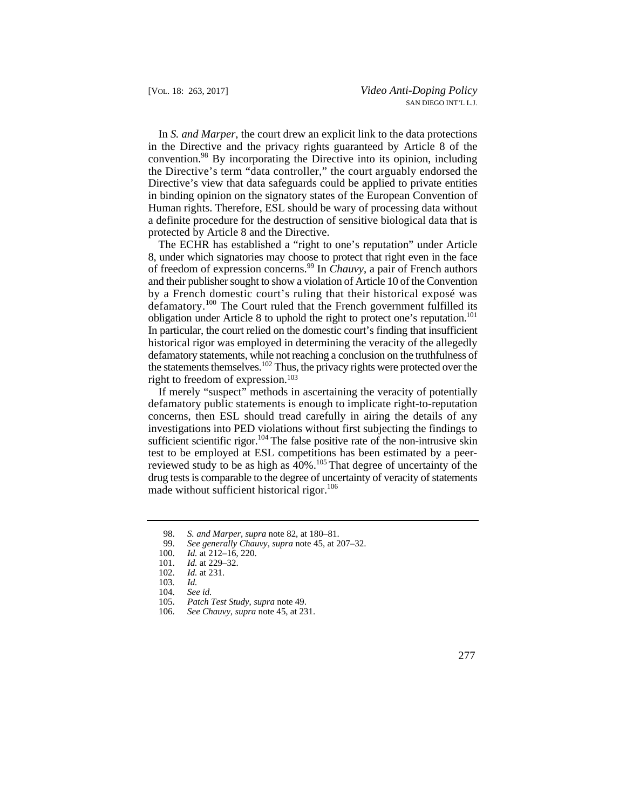the Directive's term "data controller," the court arguably endorsed the In *S. and Marper*, the court drew an explicit link to the data protections in the Directive and the privacy rights guaranteed by Article 8 of the convention.98 By incorporating the Directive into its opinion, including Directive's view that data safeguards could be applied to private entities in binding opinion on the signatory states of the European Convention of Human rights. Therefore, ESL should be wary of processing data without a definite procedure for the destruction of sensitive biological data that is protected by Article 8 and the Directive.

 8, under which signatories may choose to protect that right even in the face In particular, the court relied on the domestic court's finding that insufficient The ECHR has established a "right to one's reputation" under Article of freedom of expression concerns.99 In *Chauvy*, a pair of French authors and their publisher sought to show a violation of Article 10 of the Convention by a French domestic court's ruling that their historical exposé was defamatory.<sup>100</sup> The Court ruled that the French government fulfilled its obligation under Article 8 to uphold the right to protect one's reputation.<sup>101</sup> historical rigor was employed in determining the veracity of the allegedly defamatory statements, while not reaching a conclusion on the truthfulness of the statements themselves.102 Thus, the privacy rights were protected over the right to freedom of expression.103

If merely "suspect" methods in ascertaining the veracity of potentially defamatory public statements is enough to implicate right-to-reputation concerns, then ESL should tread carefully in airing the details of any investigations into PED violations without first subjecting the findings to sufficient scientific rigor.<sup>104</sup> The false positive rate of the non-intrusive skin test to be employed at ESL competitions has been estimated by a peerreviewed study to be as high as  $40\%$ .<sup>105</sup> That degree of uncertainty of the drug tests is comparable to the degree of uncertainty of veracity of statements made without sufficient historical rigor.<sup>106</sup>

 <sup>98.</sup> *S. and Marper*, *supra* note 82, at 180–81.

<sup>99.</sup> *See generally Chauvy*, *supra* note 45, at 207–32.

<sup>100.</sup> *Id.* at 212–16, 220.

<sup>101.</sup> *Id.* at 229–32.<br>102. *Id.* at 231.

*Id.* at 231.

<sup>103</sup>*. Id.*

 104. *See id.*

 <sup>105.</sup> *Patch Test Study*, *supra* note 49.

<sup>106.</sup> *See Chauvy*, *supra* note 45, at 231.

 <sup>277</sup>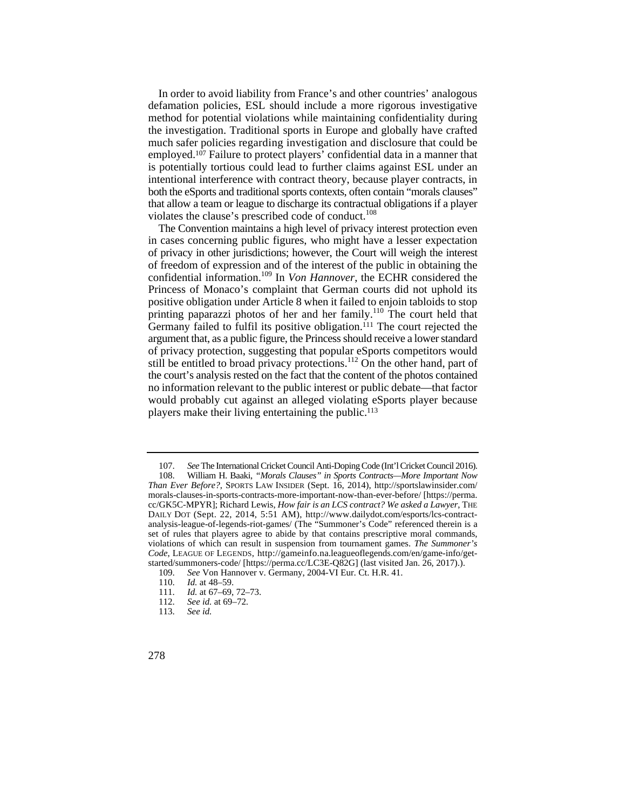method for potential violations while maintaining confidentiality during much safer policies regarding investigation and disclosure that could be In order to avoid liability from France's and other countries' analogous defamation policies, ESL should include a more rigorous investigative the investigation. Traditional sports in Europe and globally have crafted employed.107 Failure to protect players' confidential data in a manner that is potentially tortious could lead to further claims against ESL under an intentional interference with contract theory, because player contracts, in both the eSports and traditional sports contexts, often contain "morals clauses" that allow a team or league to discharge its contractual obligations if a player violates the clause's prescribed code of conduct.<sup>108</sup>

 The Convention maintains a high level of privacy interest protection even in cases concerning public figures, who might have a lesser expectation of privacy in other jurisdictions; however, the Court will weigh the interest of freedom of expression and of the interest of the public in obtaining the confidential information.109 In *Von Hannover*, the ECHR considered the Princess of Monaco's complaint that German courts did not uphold its positive obligation under Article 8 when it failed to enjoin tabloids to stop printing paparazzi photos of her and her family.<sup>110</sup> The court held that Germany failed to fulfil its positive obligation.<sup>111</sup> The court rejected the argument that, as a public figure, the Princess should receive a lower standard of privacy protection, suggesting that popular eSports competitors would still be entitled to broad privacy protections.<sup>112</sup> On the other hand, part of the court's analysis rested on the fact that the content of the photos contained no information relevant to the public interest or public debate—that factor would probably cut against an alleged violating eSports player because players make their living entertaining the public.113

 <sup>107.</sup> *See* The International Cricket Council Anti-Doping Code (Int'l Cricket Council 2016).

 set of rules that players agree to abide by that contains prescriptive moral commands, 108. William H. Baaki, *"Morals Clauses" in Sports Contracts—More Important Now Than Ever Before?*, SPORTS LAW INSIDER (Sept. 16, 2014), http://sportslawinsider.com/ morals-clauses-in-sports-contracts-more-important-now-than-ever-before/ [https://perma. cc/GK5C-MPYR]; Richard Lewis, *How fair is an LCS contract? We asked a Lawyer*, THE DAILY DOT (Sept. 22, 2014, 5:51 AM), http://www.dailydot.com/esports/lcs-contractanalysis-league-of-legends-riot-games/ (The "Summoner's Code" referenced therein is a violations of which can result in suspension from tournament games. *The Summoner's Code*, LEAGUE OF LEGENDS, http://gameinfo.na.leagueoflegends.com/en/game-info/getstarted/summoners-code/ [https://perma.cc/LC3E-Q82G] (last visited Jan. 26, 2017).).

<sup>109.</sup> *See Von Hannover v. Germany, 2004-VI Eur. Ct. H.R. 41.* 110. *Id.* at 48–59.

*Id.* at 48-59.

<sup>111.</sup> *Id.* at 67–69, 72–73.<br>112. *See id.* at 69–72.

See id. at 69–72.

<sup>113.</sup> *See id.* 

<sup>278</sup>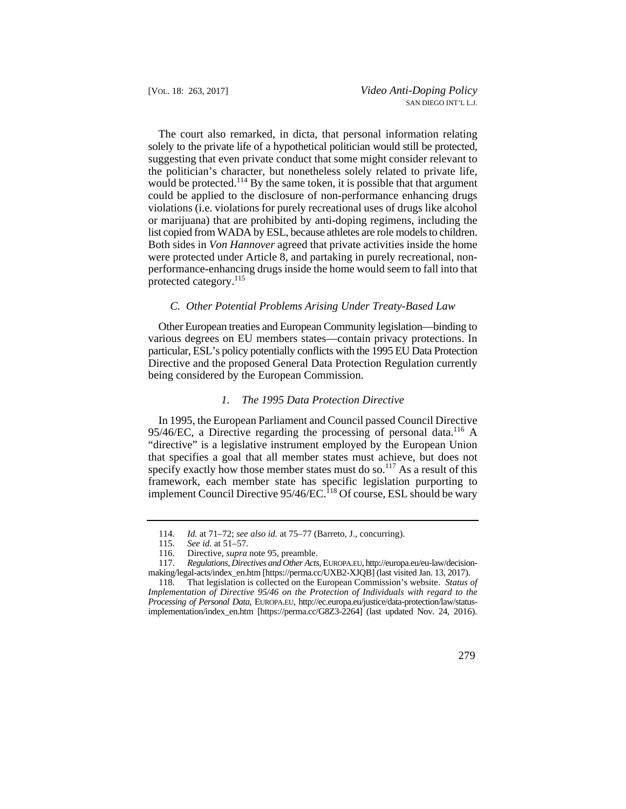The court also remarked, in dicta, that personal information relating solely to the private life of a hypothetical politician would still be protected, suggesting that even private conduct that some might consider relevant to the politician's character, but nonetheless solely related to private life, would be protected.<sup>114</sup> By the same token, it is possible that that argument could be applied to the disclosure of non-performance enhancing drugs violations (i.e. violations for purely recreational uses of drugs like alcohol or marijuana) that are prohibited by anti-doping regimens, including the list copied from WADA by ESL, because athletes are role models to children. Both sides in *Von Hannover* agreed that private activities inside the home were protected under Article 8, and partaking in purely recreational, nonperformance-enhancing drugs inside the home would seem to fall into that protected category.115

#### *C. Other Potential Problems Arising Under Treaty-Based Law*

Other European treaties and European Community legislation—binding to various degrees on EU members states—contain privacy protections. In particular, ESL's policy potentially conflicts with the 1995 EU Data Protection Directive and the proposed General Data Protection Regulation currently being considered by the European Commission.

#### *1. The 1995 Data Protection Directive*

In 1995, the European Parliament and Council passed Council Directive 95/46/EC, a Directive regarding the processing of personal data.<sup>116</sup> A "directive" is a legislative instrument employed by the European Union that specifies a goal that all member states must achieve, but does not specify exactly how those member states must do so.<sup>117</sup> As a result of this framework, each member state has specific legislation purporting to implement Council Directive 95/46/EC.<sup>118</sup> Of course, ESL should be wary

<sup>118.</sup> That legislation is collected on the European Commission's website. *Status of Implementation of Directive 95/46 on the Protection of Individuals with regard to the Processing of Personal Data*, EUROPA.EU, http://ec.europa.eu/justice/data-protection/law/statusimplementation/index\_en.htm [https://perma.cc/G8Z3-2264] (last updated Nov. 24, 2016).



 <sup>114.</sup> *Id.* at 71–72; *see also id.* at 75–77 (Barreto, J., concurring).

<sup>115.</sup> *See id.* at 51–57.

<sup>116.</sup> Directive, *supra* note 95, preamble.

<sup>117.</sup> *Regulations, Directives and Other Acts*, EUROPA.EU, http://europa.eu/eu-law/decisionmaking/legal-acts/index\_en.htm [https://perma.cc/UXB2-XJQB] (last visited Jan. 13, 2017).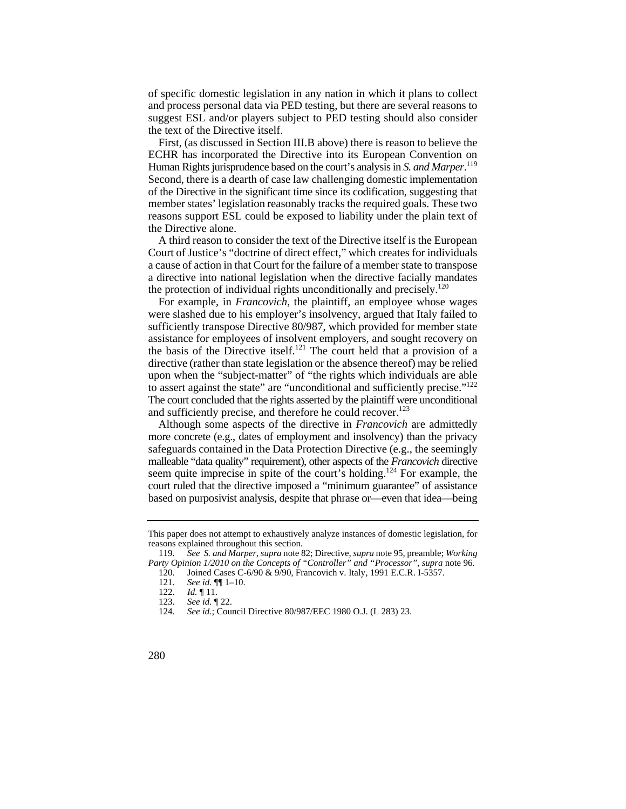of specific domestic legislation in any nation in which it plans to collect and process personal data via PED testing, but there are several reasons to suggest ESL and/or players subject to PED testing should also consider the text of the Directive itself.

 of the Directive in the significant time since its codification, suggesting that First, (as discussed in Section III.B above) there is reason to believe the ECHR has incorporated the Directive into its European Convention on Human Rights jurisprudence based on the court's analysis in *S. and Marper*. 119 Second, there is a dearth of case law challenging domestic implementation member states' legislation reasonably tracks the required goals. These two reasons support ESL could be exposed to liability under the plain text of the Directive alone.

A third reason to consider the text of the Directive itself is the European Court of Justice's "doctrine of direct effect," which creates for individuals a cause of action in that Court for the failure of a member state to transpose a directive into national legislation when the directive facially mandates the protection of individual rights unconditionally and precisely.<sup>120</sup>

For example, in *Francovich*, the plaintiff, an employee whose wages were slashed due to his employer's insolvency, argued that Italy failed to sufficiently transpose Directive 80/987, which provided for member state assistance for employees of insolvent employers, and sought recovery on the basis of the Directive itself.<sup>121</sup> The court held that a provision of a directive (rather than state legislation or the absence thereof) may be relied upon when the "subject-matter" of "the rights which individuals are able to assert against the state" are "unconditional and sufficiently precise."<sup>122</sup> The court concluded that the rights asserted by the plaintiff were unconditional and sufficiently precise, and therefore he could recover.<sup>123</sup>

Although some aspects of the directive in *Francovich* are admittedly more concrete (e.g., dates of employment and insolvency) than the privacy safeguards contained in the Data Protection Directive (e.g., the seemingly malleable "data quality" requirement), other aspects of the *Francovich* directive seem quite imprecise in spite of the court's holding.<sup>124</sup> For example, the court ruled that the directive imposed a "minimum guarantee" of assistance based on purposivist analysis, despite that phrase or—even that idea—being

This paper does not attempt to exhaustively analyze instances of domestic legislation, for reasons explained throughout this section.

<sup>119.</sup> *See S. and Marper*, *supra* note 82; Directive, *supra* note 95, preamble; *Working Party Opinion 1/2010 on the Concepts of "Controller" and "Processor"*, *supra* note 96.

Joined Cases C-6/90 & 9/90, Francovich v. Italy, 1991 E.C.R. I-5357.

<sup>121.</sup> *See id.* ¶¶ 1–10.

<sup>122.</sup> *Id.* 11.<br>123. *See id.* 1

<sup>123.</sup> *See id.* ¶ 22.

<sup>124.</sup> *See id.*; Council Directive 80/987/EEC 1980 O.J. (L 283) 23.

<sup>280</sup>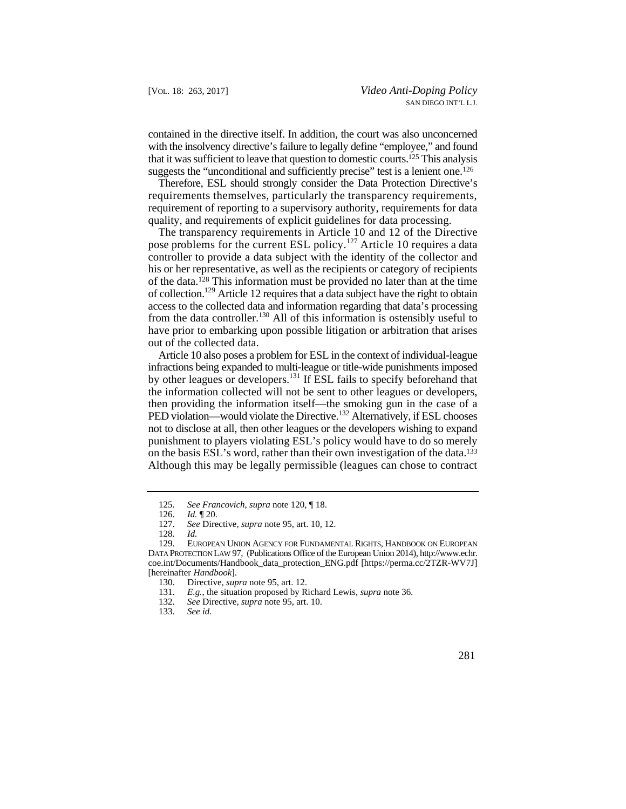that it was sufficient to leave that question to domestic courts.125 This analysis contained in the directive itself. In addition, the court was also unconcerned with the insolvency directive's failure to legally define "employee," and found suggests the "unconditional and sufficiently precise" test is a lenient one.<sup>126</sup>

 Therefore, ESL should strongly consider the Data Protection Directive's requirements themselves, particularly the transparency requirements, requirement of reporting to a supervisory authority, requirements for data quality, and requirements of explicit guidelines for data processing.

pose problems for the current ESL policy.<sup>127</sup> Article 10 requires a data his or her representative, as well as the recipients or category of recipients from the data controller.<sup>130</sup> All of this information is ostensibly useful to The transparency requirements in Article 10 and 12 of the Directive controller to provide a data subject with the identity of the collector and of the data.128 This information must be provided no later than at the time of collection.<sup>129</sup> Article 12 requires that a data subject have the right to obtain access to the collected data and information regarding that data's processing have prior to embarking upon possible litigation or arbitration that arises out of the collected data.

 not to disclose at all, then other leagues or the developers wishing to expand Article 10 also poses a problem for ESL in the context of individual-league infractions being expanded to multi-league or title-wide punishments imposed by other leagues or developers.<sup>131</sup> If ESL fails to specify beforehand that the information collected will not be sent to other leagues or developers, then providing the information itself—the smoking gun in the case of a PED violation—would violate the Directive.<sup>132</sup> Alternatively, if ESL chooses punishment to players violating ESL's policy would have to do so merely on the basis ESL's word, rather than their own investigation of the data.133 Although this may be legally permissible (leagues can chose to contract

 <sup>125.</sup> *See Francovich*, *supra* note 120, ¶ 18.

<sup>126.</sup> *Id.* ¶ 20.

See Directive, *supra* note 95, art. 10, 12.

<sup>128.</sup> *Id.*

EUROPEAN UNION AGENCY FOR FUNDAMENTAL RIGHTS, HANDBOOK ON EUROPEAN DATA PROTECTION LAW 97, (Publications Office of the European Union 2014), http://www.echr. coe.int/Documents/Handbook\_data\_protection\_ENG.pdf [https://perma.cc/2TZR-WV7J] [hereinafter *Handbook*].

<sup>130.</sup> Directive, *supra* note 95, art. 12.

<sup>131.</sup> *E.g.*, the situation proposed by Richard Lewis, *supra* note 36.

<sup>132.</sup> *See* Directive, *supra* note 95, art. 10.

<sup>133.</sup> *See id.*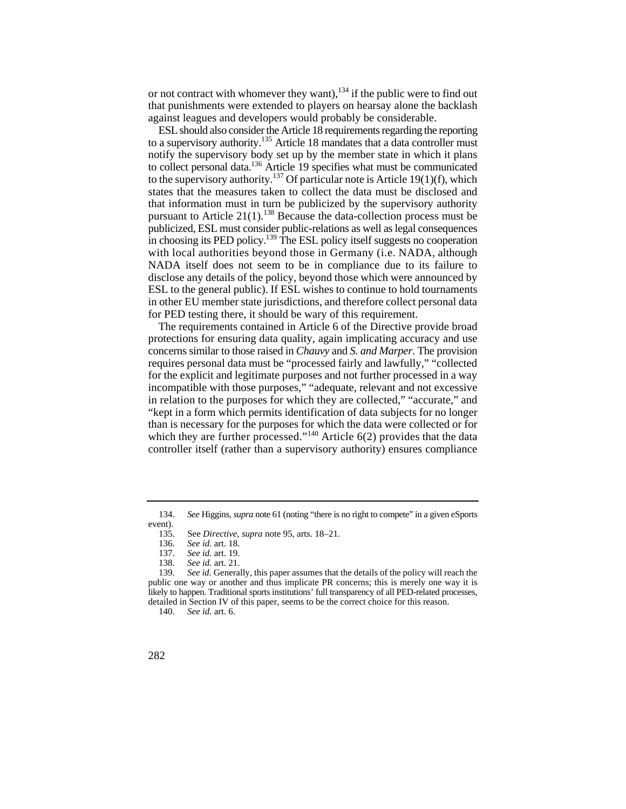or not contract with whomever they want),  $^{134}$  if the public were to find out that punishments were extended to players on hearsay alone the backlash against leagues and developers would probably be considerable.

to a supervisory authority.<sup>135</sup> Article 18 mandates that a data controller must ESL should also consider the Article 18 requirements regarding the reporting notify the supervisory body set up by the member state in which it plans to collect personal data.<sup>136</sup> Article 19 specifies what must be communicated to the supervisory authority.<sup>137</sup> Of particular note is Article 19(1)(f), which states that the measures taken to collect the data must be disclosed and that information must in turn be publicized by the supervisory authority pursuant to Article  $21(1)$ .<sup>138</sup> Because the data-collection process must be publicized, ESL must consider public-relations as well as legal consequences in choosing its PED policy.<sup>139</sup> The ESL policy itself suggests no cooperation with local authorities beyond those in Germany (i.e. NADA, although NADA itself does not seem to be in compliance due to its failure to disclose any details of the policy, beyond those which were announced by ESL to the general public). If ESL wishes to continue to hold tournaments in other EU member state jurisdictions, and therefore collect personal data for PED testing there, it should be wary of this requirement.

which they are further processed."<sup>140</sup> Article  $6(2)$  provides that the data The requirements contained in Article 6 of the Directive provide broad protections for ensuring data quality, again implicating accuracy and use concerns similar to those raised in *Chauvy* and *S. and Marper*. The provision requires personal data must be "processed fairly and lawfully," "collected for the explicit and legitimate purposes and not further processed in a way incompatible with those purposes," "adequate, relevant and not excessive in relation to the purposes for which they are collected," "accurate," and "kept in a form which permits identification of data subjects for no longer than is necessary for the purposes for which the data were collected or for controller itself (rather than a supervisory authority) ensures compliance

 *See* Higgins, *supra* note 61 (noting "there is no right to compete" in a given eSports 134. event).

<sup>135.</sup>  See *Directive*, *supra* note 95, arts. 18–21.

<sup>136.</sup>  *See id.* art. 18.

<sup>137.</sup> *See id.* art. 19.

 <sup>138.</sup> *See id.* art. 21.

 139. *See id.* Generally, this paper assumes that the details of the policy will reach the public one way or another and thus implicate PR concerns; this is merely one way it is likely to happen. Traditional sports institutions' full transparency of all PED-related processes, detailed in Section IV of this paper, seems to be the correct choice for this reason.

<sup>140.</sup> *See id.* art. 6.

<sup>282</sup>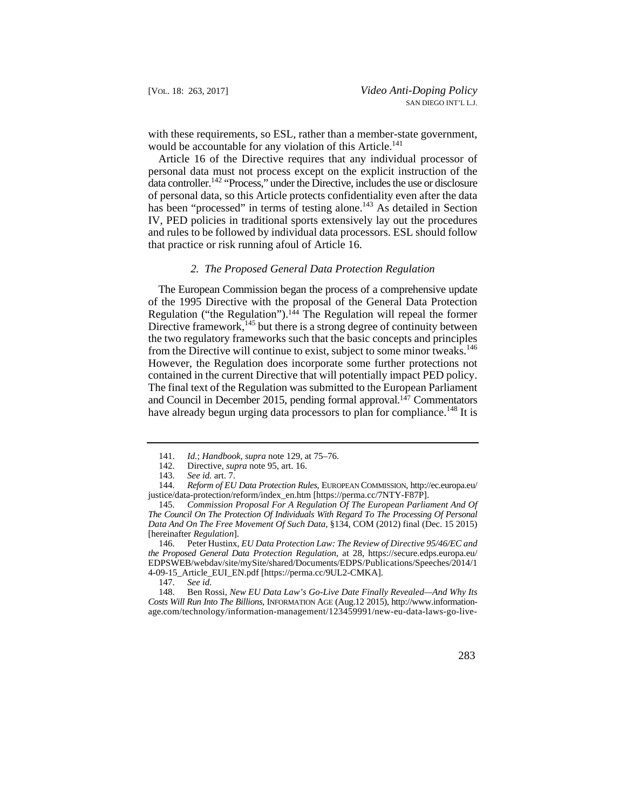with these requirements, so ESL, rather than a member-state government, would be accountable for any violation of this Article.<sup>141</sup>

Article 16 of the Directive requires that any individual processor of personal data must not process except on the explicit instruction of the data controller.142 "Process," under the Directive, includes the use or disclosure of personal data, so this Article protects confidentiality even after the data has been "processed" in terms of testing alone.<sup>143</sup> As detailed in Section IV, PED policies in traditional sports extensively lay out the procedures and rules to be followed by individual data processors. ESL should follow that practice or risk running afoul of Article 16.

### *2. The Proposed General Data Protection Regulation*

 The European Commission began the process of a comprehensive update of the 1995 Directive with the proposal of the General Data Protection Regulation ("the Regulation").<sup>144</sup> The Regulation will repeal the former Directive framework,<sup>145</sup> but there is a strong degree of continuity between the two regulatory frameworks such that the basic concepts and principles from the Directive will continue to exist, subject to some minor tweaks.<sup>146</sup> However, the Regulation does incorporate some further protections not contained in the current Directive that will potentially impact PED policy. The final text of the Regulation was submitted to the European Parliament and Council in December 2015, pending formal approval. $147$  Commentators have already begun urging data processors to plan for compliance.<sup>148</sup> It is

 <sup>148.</sup> Ben Rossi, *New EU Data Law's Go-Live Date Finally Revealed—And Why Its Costs Will Run Into The Billions*, INFORMATION AGE (Aug.12 2015), http://www.informationage.com/technology/information-management/123459991/new-eu-data-laws-go-live



 <sup>141.</sup> *Id.*; *Handbook*, *supra* note 129, at 75–76.

<sup>142.</sup> Directive, *supra* note 95, art. 16.

<sup>143.</sup> *See id.* art. 7.

<sup>144.</sup> *Reform of EU Data Protection Rules*, EUROPEAN COMMISSION, http://ec.europa.eu/ justice/data-protection/reform/index\_en.htm [https://perma.cc/7NTY-F87P].

<sup>145.</sup> *Commission Proposal For A Regulation Of The European Parliament And Of The Council On The Protection Of Individuals With Regard To The Processing Of Personal Data And On The Free Movement Of Such Data*, §134, COM (2012) final (Dec. 15 2015) [hereinafter *Regulation*].

 146. Peter Hustinx, *EU Data Protection Law: The Review of Directive 95/46/EC and the Proposed General Data Protection Regulation*, at 28, https://secure.edps.europa.eu/ EDPSWEB/webdav/site/mySite/shared/Documents/EDPS/Publications/Speeches/2014/1 4-09-15\_Article\_EUI\_EN.pdf [https://perma.cc/9UL2-CMKA].<br>147. See id.

 147. *See id.*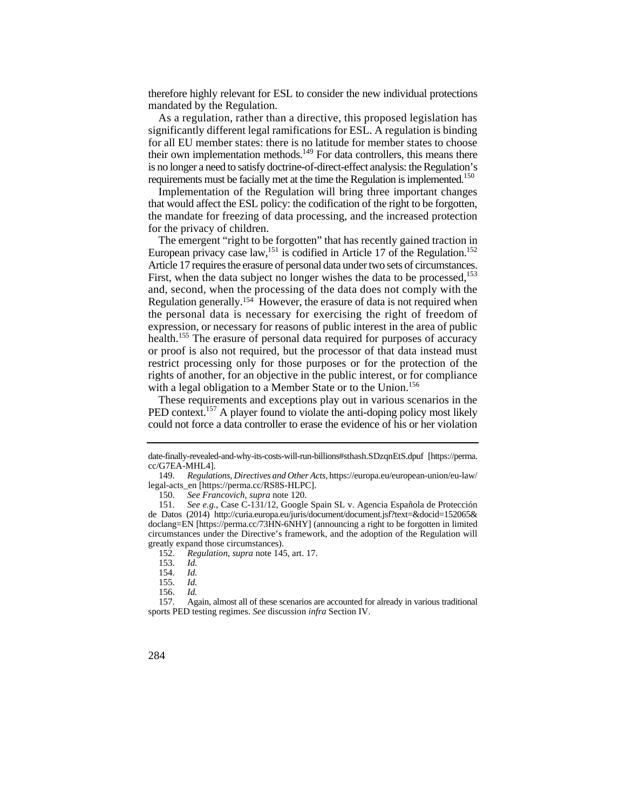therefore highly relevant for ESL to consider the new individual protections mandated by the Regulation.

As a regulation, rather than a directive, this proposed legislation has significantly different legal ramifications for ESL. A regulation is binding for all EU member states: there is no latitude for member states to choose their own implementation methods.<sup>149</sup> For data controllers, this means there is no longer a need to satisfy doctrine-of-direct-effect analysis: the Regulation's requirements must be facially met at the time the Regulation is implemented.<sup>150</sup>

Implementation of the Regulation will bring three important changes that would affect the ESL policy: the codification of the right to be forgotten, the mandate for freezing of data processing, and the increased protection for the privacy of children.

European privacy case law,<sup>151</sup> is codified in Article 17 of the Regulation.<sup>152</sup> and, second, when the processing of the data does not comply with the Regulation generally.154 However, the erasure of data is not required when The emergent "right to be forgotten" that has recently gained traction in Article 17 requires the erasure of personal data under two sets of circumstances. First, when the data subject no longer wishes the data to be processed,<sup>153</sup> the personal data is necessary for exercising the right of freedom of expression, or necessary for reasons of public interest in the area of public health.<sup>155</sup> The erasure of personal data required for purposes of accuracy or proof is also not required, but the processor of that data instead must restrict processing only for those purposes or for the protection of the rights of another, for an objective in the public interest, or for compliance with a legal obligation to a Member State or to the Union.<sup>156</sup>

These requirements and exceptions play out in various scenarios in the PED context.<sup>157</sup> A player found to violate the anti-doping policy most likely could not force a data controller to erase the evidence of his or her violation

150. *See Francovich*, *supra* note 120.

152. *Regulation*, *supra* note 145, art. 17.

153. *Id.*

154. *Id.*

155. *Id.*

156. *Id.* 

sports PED testing regimes. *See*  discussion *infra*  Section IV. 157. Again, almost all o f the se scenarios are a ccounte d for already in various traditional



date-finally-revealed-and-why-its-costs-will-run-billions#sthash.SDzqnEtS.dpuf [https://perma. cc/G7EA-MHL4].

<sup>149.</sup> *Regulations, Directives and Other Acts*, https://europa.eu/european-union/eu-law/ legal-acts\_en [https://perma.cc/RS8S-HLPC].

<sup>151.</sup> *See e.g.*, Case C-131/12, Google Spain SL v. Agencia Española de Protección de Datos (2014) http://curia.europa.eu/juris/document/document.jsf?text=&docid=152065& doclang=EN [https://perma.cc/73HN-6NHY] (announcing a right to be forgotten in limited circumstances under the Directive's framework, and the adoption of the Regulation will greatly expand those circumstances).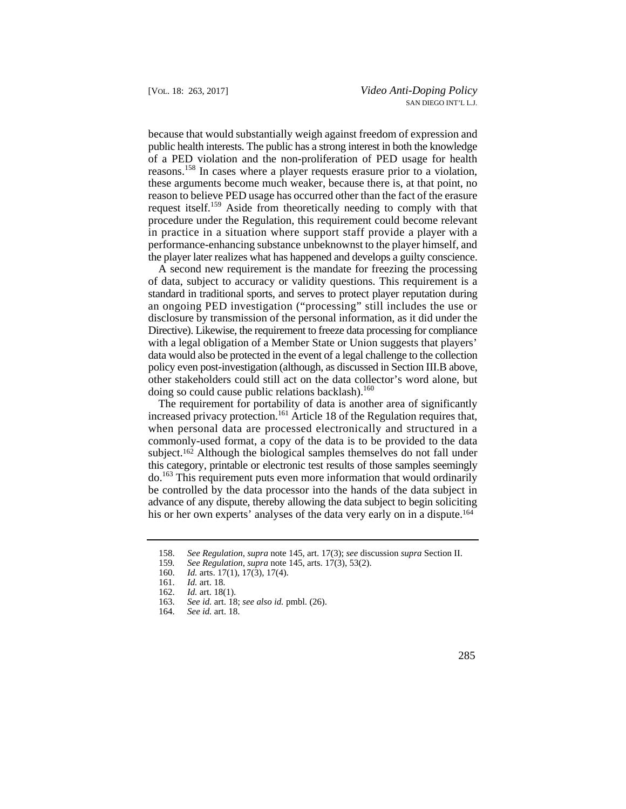in practice in a situation where support staff provide a player with a the player later realizes what has happened and develops a guilty conscience. because that would substantially weigh against freedom of expression and public health interests. The public has a strong interest in both the knowledge of a PED violation and the non-proliferation of PED usage for health reasons.158 In cases where a player requests erasure prior to a violation, these arguments become much weaker, because there is, at that point, no reason to believe PED usage has occurred other than the fact of the erasure request itself.159 Aside from theoretically needing to comply with that procedure under the Regulation, this requirement could become relevant performance-enhancing substance unbeknownst to the player himself, and

 data would also be protected in the event of a legal challenge to the collection A second new requirement is the mandate for freezing the processing of data, subject to accuracy or validity questions. This requirement is a standard in traditional sports, and serves to protect player reputation during an ongoing PED investigation ("processing" still includes the use or disclosure by transmission of the personal information, as it did under the Directive). Likewise, the requirement to freeze data processing for compliance with a legal obligation of a Member State or Union suggests that players' policy even post-investigation (although, as discussed in Section III.B above, other stakeholders could still act on the data collector's word alone, but doing so could cause public relations backlash).<sup>160</sup>

 advance of any dispute, thereby allowing the data subject to begin soliciting The requirement for portability of data is another area of significantly increased privacy protection.<sup>161</sup> Article 18 of the Regulation requires that, when personal data are processed electronically and structured in a commonly-used format, a copy of the data is to be provided to the data subject.162 Although the biological samples themselves do not fall under this category, printable or electronic test results of those samples seemingly do.163 This requirement puts even more information that would ordinarily be controlled by the data processor into the hands of the data subject in his or her own experts' analyses of the data very early on in a dispute.<sup>164</sup>

 <sup>158.</sup> *See Regulation*, *supra* note 145, art. 17(3); *see* discussion *supra* Section II.

<sup>159</sup>*. See Regulation*, *supra* note 145, arts. 17(3), 53(2).

<sup>160.</sup> *Id.* arts. 17(1), 17(3), 17(4).<br>161. *Id.* art. 18.

<sup>161.</sup> *Id.* art. 18.

<sup>162.</sup> *Id.* art. 18(1).<br>163. *See id.* art. 18

<sup>163.</sup> *See id.* art. 18; *see also id.* pmbl. (26).

<sup>164.</sup> *See id.* art. 18.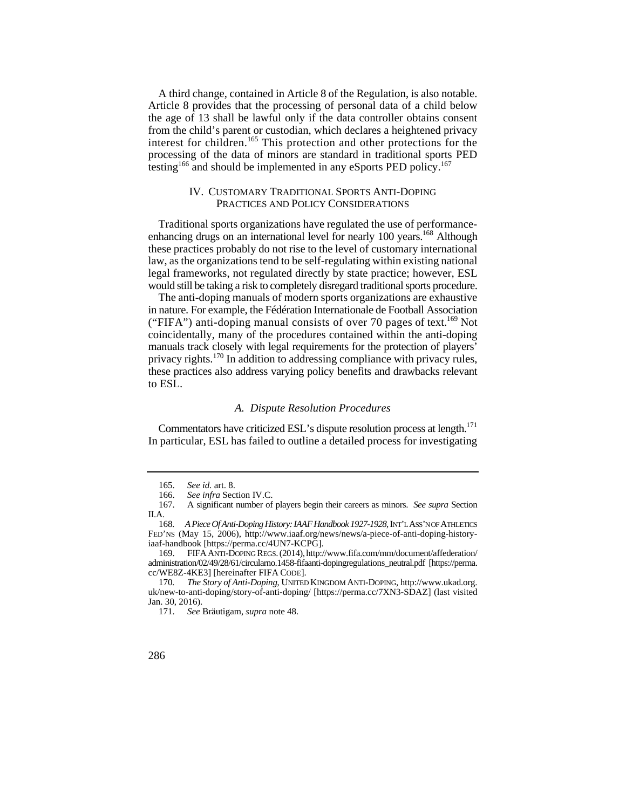A third change, contained in Article 8 of the Regulation, is also notable. Article 8 provides that the processing of personal data of a child below the age of 13 shall be lawful only if the data controller obtains consent from the child's parent or custodian, which declares a heightened privacy interest for children.<sup>165</sup> This protection and other protections for the processing of the data of minors are standard in traditional sports PED testing<sup>166</sup> and should be implemented in any eSports PED policy.<sup>167</sup>

### IV. CUSTOMARY TRADITIONAL SPORTS ANTI-DOPING PRACTICES AND POLICY CONSIDERATIONS

enhancing drugs on an international level for nearly 100 years.<sup>168</sup> Although Traditional sports organizations have regulated the use of performancethese practices probably do not rise to the level of customary international law, as the organizations tend to be self-regulating within existing national legal frameworks, not regulated directly by state practice; however, ESL would still be taking a risk to completely disregard traditional sports procedure.

("FIFA") anti-doping manual consists of over 70 pages of text.<sup>169</sup> Not The anti-doping manuals of modern sports organizations are exhaustive in nature. For example, the Fédération Internationale de Football Association coincidentally, many of the procedures contained within the anti-doping manuals track closely with legal requirements for the protection of players' privacy rights.<sup>170</sup> In addition to addressing compliance with privacy rules, these practices also address varying policy benefits and drawbacks relevant to ESL.

#### *A. Dispute Resolution Procedures*

Commentators have criticized ESL's dispute resolution process at length.<sup>171</sup> In particular, ESL has failed to outline a detailed process for investigating

 <sup>165.</sup> *See id.* art. 8.

<sup>166.</sup> *See infra* Section IV.C.

<sup>167.</sup>  II.A. A significant number of players begin their careers as minors. *See supra* Section

<sup>168</sup>*. A Piece Of Anti-Doping History: IAAF Handbook 1927-1928*, INT'LASS'N OF ATHLETICS FED'NS (May 15, 2006), http://www.iaaf.org/news/news/a-piece-of-anti-doping-historyiaaf-handbook [https://perma.cc/4UN7-KCPG].

 169. FIFAANTI-DOPING REGS.(2014), http://www.fifa.com/mm/document/affederation/ administration/02/49/28/61/circularno.1458-fifaanti-dopingregulations\_neutral.pdf [https://perma. cc/WE8Z-4KE3] [hereinafter FIFA CODE].

 $170$ The Story of Anti-Doping, UNITED KINGDOM ANTI-DOPING, http://www.ukad.org. uk/new-to-anti-doping/story-of-anti-doping/ [https://perma.cc/7XN3-SDAZ] (last visited Jan. 30, 2016).

<sup>171.</sup> *See* Bräutigam, *supra* note 48.

<sup>286</sup>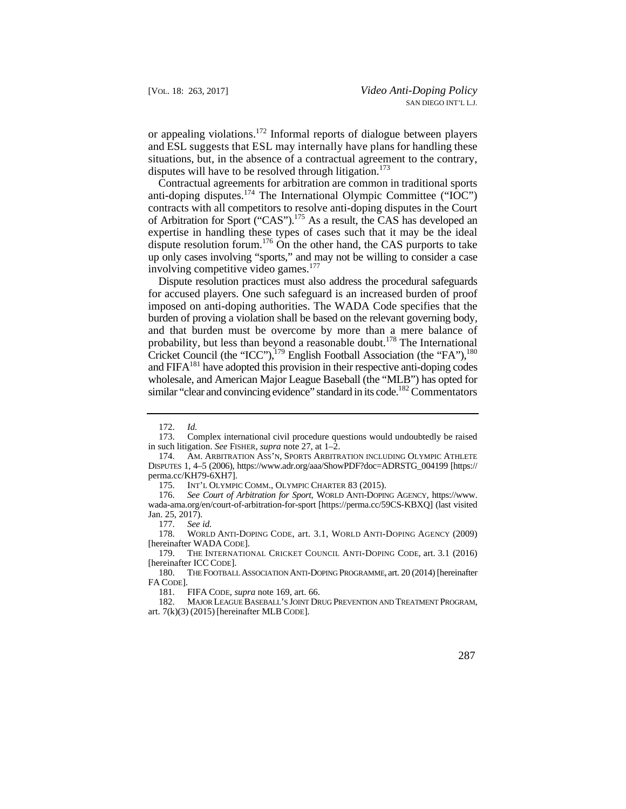or appealing violations.172 Informal reports of dialogue between players and ESL suggests that ESL may internally have plans for handling these situations, but, in the absence of a contractual agreement to the contrary, disputes will have to be resolved through litigation.<sup>173</sup>

Contractual agreements for arbitration are common in traditional sports anti-doping disputes.<sup>174</sup> The International Olympic Committee (" $\overline{OC}$ ") contracts with all competitors to resolve anti-doping disputes in the Court of Arbitration for Sport ("CAS").175 As a result, the CAS has developed an expertise in handling these types of cases such that it may be the ideal dispute resolution forum.<sup>176</sup> On the other hand, the CAS purports to take up only cases involving "sports," and may not be willing to consider a case involving competitive video games.<sup>177</sup>

Dispute resolution practices must also address the procedural safeguards for accused players. One such safeguard is an increased burden of proof imposed on anti-doping authorities. The WADA Code specifies that the burden of proving a violation shall be based on the relevant governing body, and that burden must be overcome by more than a mere balance of probability, but less than beyond a reasonable doubt.<sup>178</sup> The International Cricket Council (the "ICC"),179 English Football Association (the "FA"),180 and  $FIFA^{181}$  have adopted this provision in their respective anti-doping codes wholesale, and American Major League Baseball (the "MLB") has opted for similar "clear and convincing evidence" standard in its code.<sup>182</sup> Commentators

 178. WORLD ANTI-DOPING CODE, art. 3.1, WORLD ANTI-DOPING AGENCY (2009) [hereinafter WADA CODE].

 art. 7(k)(3) (2015) [hereinafter MLB CODE]. 182. MAJOR LEAGUE BASEBALL'S JOINT DRUG PREVENTION AND TREATMENT PROGRAM,



<sup>172.</sup> *Id.* 

<sup>173.</sup> Complex international civil procedure questions would undoubtedly be raised in such litigation. *See* FISHER, *supra* note 27, at 1–2.

AM. ARBITRATION ASS'N, SPORTS ARBITRATION INCLUDING OLYMPIC ATHLETE DISPUTES 1, 4–5 (2006), https://www.adr.org/aaa/ShowPDF?doc=ADRSTG\_004199 [https:// perma.cc/KH79-6XH7].

<sup>175.</sup> INT'L OLYMPIC COMM., OLYMPIC CHARTER 83 (2015).

<sup>176.</sup> *See Court of Arbitration for Sport*, WORLD ANTI-DOPING AGENCY, https://www. wada-ama.org/en/court-of-arbitration-for-sport [https://perma.cc/59CS-KBXQ] (last visited Jan. 25, 2017).

See id.

 179. THE INTERNATIONAL CRICKET COUNCIL ANTI-DOPING CODE, art. 3.1 (2016) [hereinafter ICC CODE].

<sup>180.</sup> THE FOOTBALL ASSOCIATION ANTI-DOPING PROGRAMME, art. 20 (2014) [hereinafter FA CODE].<br>181.

FIFA CODE, *supra* note 169, art. 66.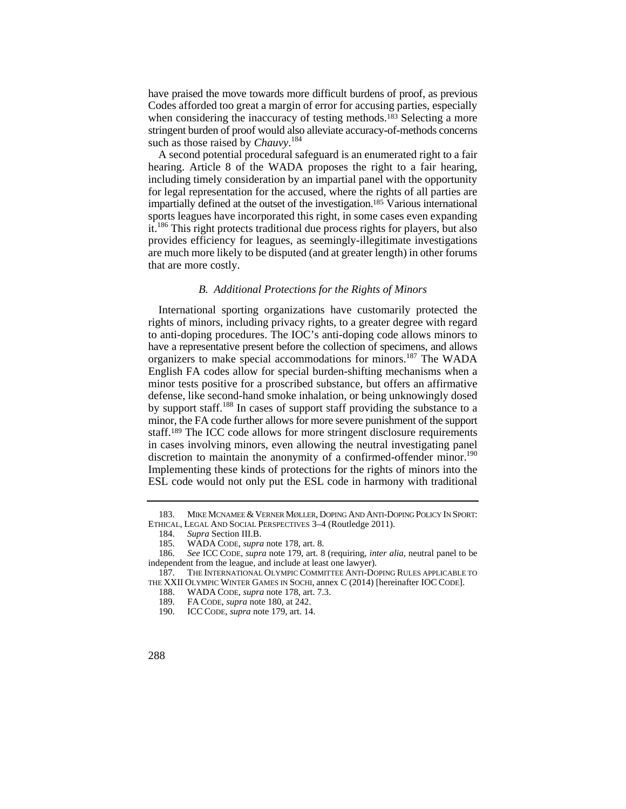have praised the move towards more difficult burdens of proof, as previous Codes afforded too great a margin of error for accusing parties, especially when considering the inaccuracy of testing methods.<sup>183</sup> Selecting a more stringent burden of proof would also alleviate accuracy-of-methods concerns such as those raised by *Chauvy*. 184

A second potential procedural safeguard is an enumerated right to a fair hearing. Article 8 of the WADA proposes the right to a fair hearing, including timely consideration by an impartial panel with the opportunity for legal representation for the accused, where the rights of all parties are impartially defined at the outset of the investigation.185 Various international sports leagues have incorporated this right, in some cases even expanding it.186 This right protects traditional due process rights for players, but also provides efficiency for leagues, as seemingly-illegitimate investigations are much more likely to be disputed (and at greater length) in other forums that are more costly.

## *B. Additional Protections for the Rights of Minors*

 have a representative present before the collection of specimens, and allows International sporting organizations have customarily protected the rights of minors, including privacy rights, to a greater degree with regard to anti-doping procedures. The IOC's anti-doping code allows minors to organizers to make special accommodations for minors.187 The WADA English FA codes allow for special burden-shifting mechanisms when a minor tests positive for a proscribed substance, but offers an affirmative defense, like second-hand smoke inhalation, or being unknowingly dosed by support staff.188 In cases of support staff providing the substance to a minor, the FA code further allows for more severe punishment of the support staff.189 The ICC code allows for more stringent disclosure requirements in cases involving minors, even allowing the neutral investigating panel discretion to maintain the anonymity of a confirmed-offender minor.<sup>190</sup> Implementing these kinds of protections for the rights of minors into the ESL code would not only put the ESL code in harmony with traditional

 <sup>183.</sup> MIKE MCNAMEE & VERNER MØLLER, DOPING AND ANTI-DOPING POLICY IN SPORT: ETHICAL, LEGAL AND SOCIAL PERSPECTIVES 3–4 (Routledge 2011).

<sup>184.</sup> *Supra Section III.B.*<br>185. **WADA CODE**, *supra* 

<sup>185.</sup> WADA CODE, *supra* note 178, art. 8.

 <sup>186.</sup> *See* ICC CODE, *supra* note 179, art. 8 (requiring, *inter alia*, neutral panel to be independent from the league, and include at least one lawyer).

<sup>187.</sup> THE INTERNATIONAL OLYMPIC COMMITTEE ANTI-DOPING RULES APPLICABLE TO THE XXII OLYMPIC WINTER GAMES IN SOCHI, annex C (2014) [hereinafter IOC CODE].

<sup>188.</sup> WADA CODE, *supra* note 178, art. 7.3.<br>189. FA CODE, *supra* note 180, at 242.

<sup>189.</sup> FA CODE, *supra* note 180, at 242.

<sup>190.</sup> ICC CODE, *supra* note 179, art. 14.

<sup>288</sup>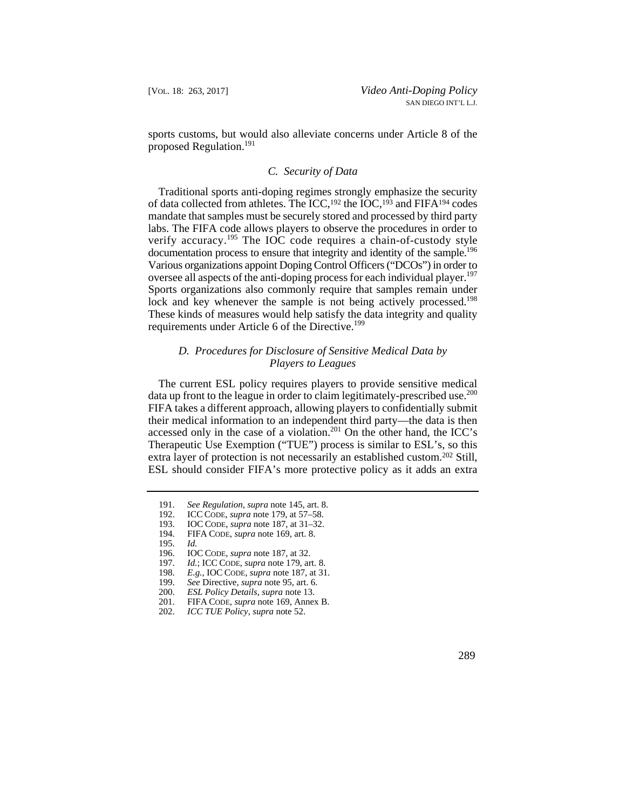sports customs, but would also alleviate concerns under Article 8 of the proposed Regulation.191

## *C. Security of Data*

 Various organizations appoint Doping Control Officers ("DCOs") in order to Traditional sports anti-doping regimes strongly emphasize the security of data collected from athletes. The ICC,<sup>192</sup> the IOC,<sup>193</sup> and FIFA<sup>194</sup> codes mandate that samples must be securely stored and processed by third party labs. The FIFA code allows players to observe the procedures in order to verify accuracy.<sup>195</sup> The IOC code requires a chain-of-custody style documentation process to ensure that integrity and identity of the sample.<sup>196</sup> oversee all aspects of the anti-doping process for each individual player.<sup>197</sup> Sports organizations also commonly require that samples remain under lock and key whenever the sample is not being actively processed.<sup>198</sup> These kinds of measures would help satisfy the data integrity and quality requirements under Article 6 of the Directive.<sup>199</sup>

# *D. Procedures for Disclosure of Sensitive Medical Data by Players to Leagues*

The current ESL policy requires players to provide sensitive medical data up front to the league in order to claim legitimately-prescribed use.<sup>200</sup> FIFA takes a different approach, allowing players to confidentially submit their medical information to an independent third party—the data is then accessed only in the case of a violation.<sup>201</sup> On the other hand, the ICC's Therapeutic Use Exemption ("TUE") process is similar to ESL's, so this extra layer of protection is not necessarily an established custom.<sup>202</sup> Still, ESL should consider FIFA's more protective policy as it adds an extra

- 194. FIFA CODE, *supra* note 169, art. 8.
- 195. *Id.*
- 196. IOC CODE, *supra* note 187, at 32.
- 197. *Id.*; ICC CODE, *supra* note 179, art. 8.
- 198. *E.g.*, IOC CODE, *supra* note 187, at 31.
- 
- 200. *ESL Policy Details*, *supra* note 13.
- 199. *See Directive, supra note 95, art. 6.* 200. *ESL Policy Details, supra note 13.* 201. FIFA CODE, *supra note 169, Annex* 201. FIFA CODE, *supra* note 169, Annex B.
- 202. *ICC TUE Policy*, *supra* note 52.

<sup>191.</sup> *See Regulation*, *supra* note 145, art. 8.

<sup>192.</sup> **ICC CODE,** *supra* note 179, at 57–58.<br>193. **IOC CODE**, *supra* note 187, at 31–32.

<sup>193.</sup> IOC CODE, *supra* note 187, at 31–32.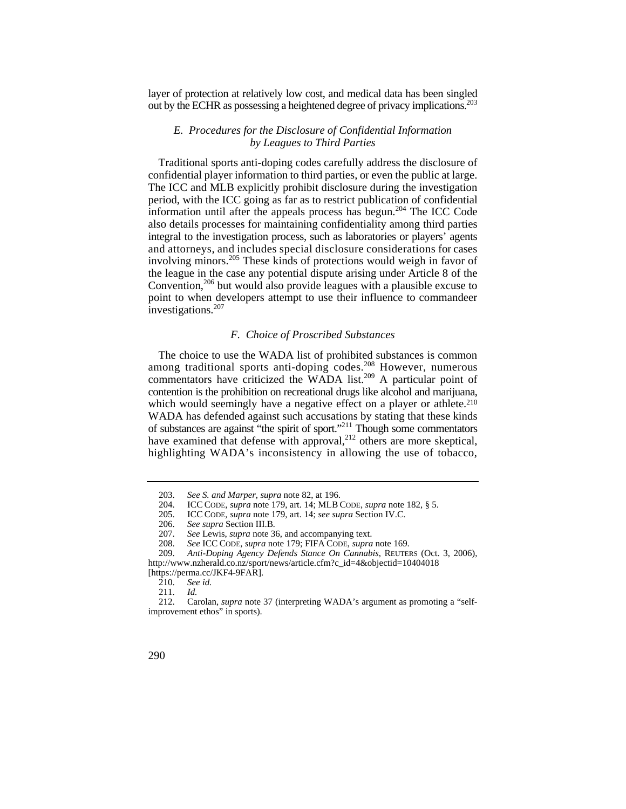layer of protection at relatively low cost, and medical data has been singled out by the ECHR as possessing a heightened degree of privacy implications.<sup>203</sup>

## *E. Procedures for the Disclosure of Confidential Information by Leagues to Third Parties*

Traditional sports anti-doping codes carefully address the disclosure of confidential player information to third parties, or even the public at large. The ICC and MLB explicitly prohibit disclosure during the investigation period, with the ICC going as far as to restrict publication of confidential information until after the appeals process has begun.<sup>204</sup> The ICC Code also details processes for maintaining confidentiality among third parties integral to the investigation process, such as laboratories or players' agents and attorneys, and includes special disclosure considerations for cases involving minors.205 These kinds of protections would weigh in favor of the league in the case any potential dispute arising under Article 8 of the Convention,206 but would also provide leagues with a plausible excuse to point to when developers attempt to use their influence to commandeer investigations.<sup>207</sup>

## *F. Choice of Proscribed Substances*

The choice to use the WADA list of prohibited substances is common among traditional sports anti-doping codes.<sup>208</sup> However, numerous commentators have criticized the WADA list.<sup>209</sup> A particular point of contention is the prohibition on recreational drugs like alcohol and marijuana, which would seemingly have a negative effect on a player or athlete.<sup>210</sup> WADA has defended against such accusations by stating that these kinds of substances are against "the spirit of sport."211 Though some commentators have examined that defense with approval,<sup>212</sup> others are more skeptical, highlighting WADA's inconsistency in allowing the use of tobacco,

 <sup>212.</sup> Carolan, *supra* note 37 (interpreting WADA's argument as promoting a "selfimprovement ethos" in sports).



 <sup>203.</sup> *See S. and Marper*, *supra* note 82, at 196. 204. ICC CODE, *supra* note 179, art. 14; MLB CODE, *supra* note 182, § 5.

<sup>205.</sup> ICC CODE, *supra* note 179, art. 14; *see supra* Section IV.C.

 <sup>206.</sup> *See supra* Section III.B*.*

 <sup>207.</sup> *See* Lewis, *supra* note 36, and accompanying text.

<sup>208.</sup> *See* ICC CODE, *supra* note 179; FIFA CODE, *supra* note 169.

<sup>209.</sup> *Anti-Doping Agency Defends Stance On Cannabis*, REUTERS (Oct. 3, 2006), http://www.nzherald.co.nz/sport/news/article.cfm?c\_id=4&objectid=10404018 [https://perma.cc/JKF4-9FAR].<br>210. See id.

See id.

 <sup>211.</sup> *Id.*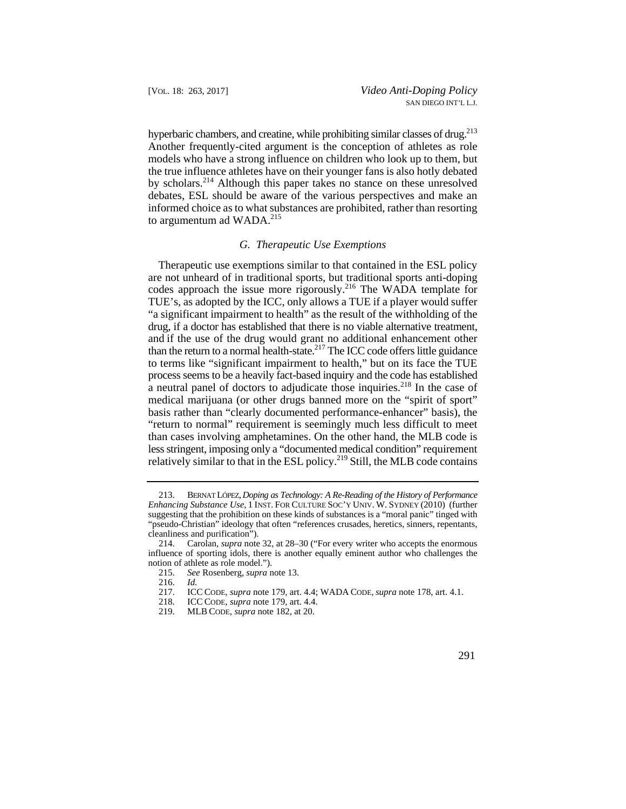hyperbaric chambers, and creatine, while prohibiting similar classes of drug.<sup>213</sup> Another frequently-cited argument is the conception of athletes as role models who have a strong influence on children who look up to them, but the true influence athletes have on their younger fans is also hotly debated by scholars.214 Although this paper takes no stance on these unresolved debates, ESL should be aware of the various perspectives and make an informed choice as to what substances are prohibited, rather than resorting to argumentum ad WADA.<sup>215</sup>

## *G. Therapeutic Use Exemptions*

than the return to a normal health-state.<sup>217</sup> The ICC code offers little guidance Therapeutic use exemptions similar to that contained in the ESL policy are not unheard of in traditional sports, but traditional sports anti-doping codes approach the issue more rigorously.<sup>216</sup> The WADA template for TUE's, as adopted by the ICC, only allows a TUE if a player would suffer "a significant impairment to health" as the result of the withholding of the drug, if a doctor has established that there is no viable alternative treatment, and if the use of the drug would grant no additional enhancement other to terms like "significant impairment to health," but on its face the TUE process seems to be a heavily fact-based inquiry and the code has established a neutral panel of doctors to adjudicate those inquiries.<sup>218</sup> In the case of medical marijuana (or other drugs banned more on the "spirit of sport" basis rather than "clearly documented performance-enhancer" basis), the "return to normal" requirement is seemingly much less difficult to meet than cases involving amphetamines. On the other hand, the MLB code is less stringent, imposing only a "documented medical condition" requirement relatively similar to that in the ESL policy.<sup>219</sup> Still, the MLB code contains

- 217. ICC CODE, *supra* note 179, art. 4.4; WADA CODE, *supra* note 178, art. 4.1.
	- 218. ICC CODE, *supra* note 179, art. 4.4.
	- 219. MLB CODE, *supra* note 182, at 20.

 *Enhancing Substance Use*, 1 INST. FOR CULTURE SOC'Y UNIV. W. SYDNEY (2010) (further 213. BERNAT LÓPEZ, *Doping as Technology: A Re-Reading of the History of Performance*  suggesting that the prohibition on these kinds of substances is a "moral panic" tinged with "pseudo-Christian" ideology that often "references crusades, heretics, sinners, repentants, cleanliness and purification").<br>214. Carolan. *sunra* note

<sup>214.</sup> Carolan, *supra* note 32, at 28–30 ("For every writer who accepts the enormous influence of sporting idols, there is another equally eminent author who challenges the notion of athlete as role model.").

<sup>215.</sup> *See* Rosenberg, *supra* note 13.

<sup>216.</sup> *Id.*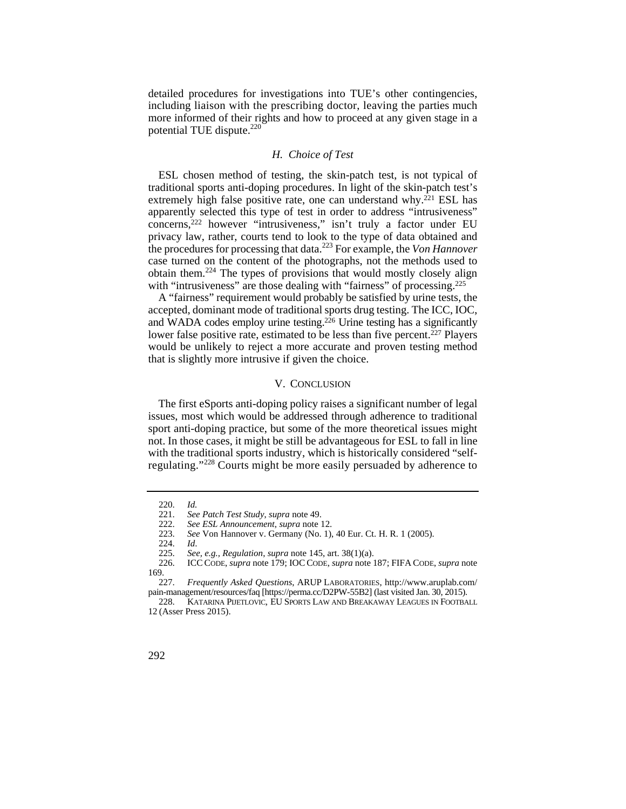including liaison with the prescribing doctor, leaving the parties much detailed procedures for investigations into TUE's other contingencies, more informed of their rights and how to proceed at any given stage in a potential TUE dispute.<sup>220</sup>

## *H. Choice of Test*

ESL chosen method of testing, the skin-patch test, is not typical of traditional sports anti-doping procedures. In light of the skin-patch test's extremely high false positive rate, one can understand why.<sup>221</sup> ESL has apparently selected this type of test in order to address "intrusiveness" concerns,222 however "intrusiveness," isn't truly a factor under EU privacy law, rather, courts tend to look to the type of data obtained and the procedures for processing that data.223 For example, the *Von Hannover*  case turned on the content of the photographs, not the methods used to obtain them.<sup> $224$ </sup> The types of provisions that would mostly closely align with "intrusiveness" are those dealing with "fairness" of processing.<sup>225</sup>

A "fairness" requirement would probably be satisfied by urine tests, the accepted, dominant mode of traditional sports drug testing. The ICC, IOC, and WADA codes employ urine testing.226 Urine testing has a significantly lower false positive rate, estimated to be less than five percent.<sup>227</sup> Players would be unlikely to reject a more accurate and proven testing method that is slightly more intrusive if given the choice.

#### V. CONCLUSION

The first eSports anti-doping policy raises a significant number of legal issues, most which would be addressed through adherence to traditional sport anti-doping practice, but some of the more theoretical issues might not. In those cases, it might be still be advantageous for ESL to fall in line with the traditional sports industry, which is historically considered "selfregulating."228 Courts might be more easily persuaded by adherence to

<sup>228.</sup> KATARINA PIJETLOVIC, EU SPORTS LAW AND BREAKAWAY LEAGUES IN FOOTBALL 12 (Asser Press 2015).



 <sup>220.</sup> *Id.*

 <sup>221.</sup>  *See Patch Test Study*, *supra* note 49.

<sup>222.</sup>  *See ESL Announcement*, *supra* note 12.

<sup>223.</sup>  *See* Von Hannover v. Germany (No. 1), 40 Eur. Ct. H. R. 1 (2005).

<sup>224.</sup>  *Id*.

<sup>225.</sup>  *See, e.g., Regulation*, *supra* note 145, art. 38(1)(a).

<sup>226.</sup>  169. ICC CODE, *supra* note 179; IOC CODE, *supra* note 187; FIFA CODE, *supra* note

<sup>227.</sup> *Frequently Asked Questions*, ARUP LABORATORIES, http://www.aruplab.com/ pain-management/resources/faq [https://perma.cc/D2PW-55B2] (last visited Jan. 30, 2015).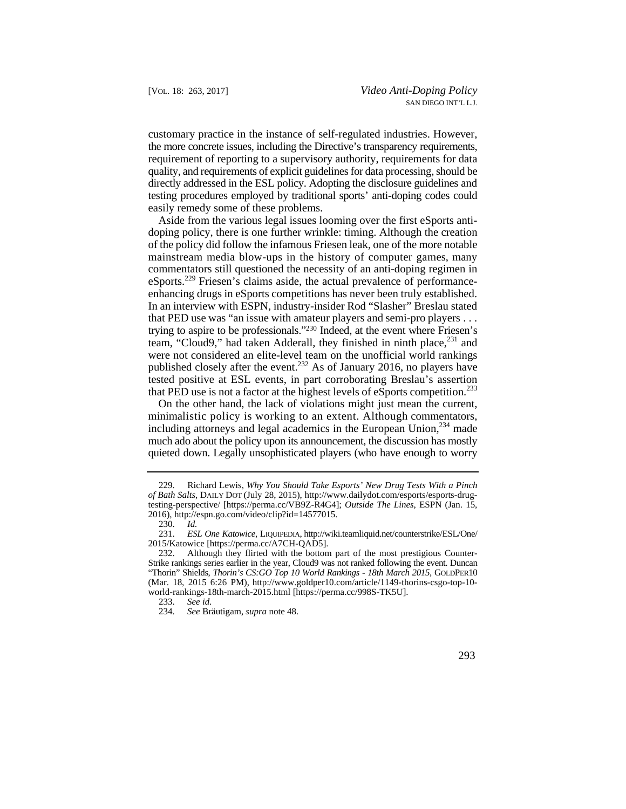customary practice in the instance of self-regulated industries. However, the more concrete issues, including the Directive's transparency requirements, requirement of reporting to a supervisory authority, requirements for data quality, and requirements of explicit guidelines for data processing, should be directly addressed in the ESL policy. Adopting the disclosure guidelines and testing procedures employed by traditional sports' anti-doping codes could easily remedy some of these problems.

 mainstream media blow-ups in the history of computer games, many Aside from the various legal issues looming over the first eSports antidoping policy, there is one further wrinkle: timing. Although the creation of the policy did follow the infamous Friesen leak, one of the more notable commentators still questioned the necessity of an anti-doping regimen in eSports.229 Friesen's claims aside, the actual prevalence of performanceenhancing drugs in eSports competitions has never been truly established. In an interview with ESPN, industry-insider Rod "Slasher" Breslau stated that PED use was "an issue with amateur players and semi-pro players . . . trying to aspire to be professionals."230 Indeed, at the event where Friesen's team, "Cloud9," had taken Adderall, they finished in ninth place, <sup>231</sup> and were not considered an elite-level team on the unofficial world rankings published closely after the event.<sup>232</sup> As of January 2016, no players have tested positive at ESL events, in part corroborating Breslau's assertion that PED use is not a factor at the highest levels of eSports competition.<sup>233</sup>

 quieted down. Legally unsophisticated players (who have enough to worry On the other hand, the lack of violations might just mean the current, minimalistic policy is working to an extent. Although commentators, including attorneys and legal academics in the European Union, $^{234}$  made much ado about the policy upon its announcement, the discussion has mostly

 <sup>229.</sup> Richard Lewis, *Why You Should Take Esports' New Drug Tests With a Pinch of Bath Salts*, DAILY DOT (July 28, 2015), http://www.dailydot.com/esports/esports-drugtesting-perspective/ [https://perma.cc/VB9Z-R4G4]; *Outside The Lines*, ESPN (Jan. 15, 2016), http://espn.go.com/video/clip?id=14577015.

<sup>230.</sup> *Id.*

 <sup>231.</sup> *ESL One Katowice*, LIQUIPEDIA, http://wiki.teamliquid.net/counterstrike/ESL/One/ 2015/Katowice [https://perma.cc/A7CH-QAD5].

<sup>232.</sup> Although they flirted with the bottom part of the most prestigious Counter-Strike rankings series earlier in the year, Cloud9 was not ranked following the event. Duncan "Thorin" Shields, *Thorin's CS:GO Top 10 World Rankings - 18th March 2015*, GOLDPER10 (Mar. 18, 2015 6:26 PM), http://www.goldper10.com/article/1149-thorins-csgo-top-10 world-rankings-18th-march-2015.html [https://perma.cc/998S-TK5U].<br>233. See id.

<sup>233.</sup> *See id.*

 <sup>234.</sup> *See* Bräutigam, *supra* note 48.